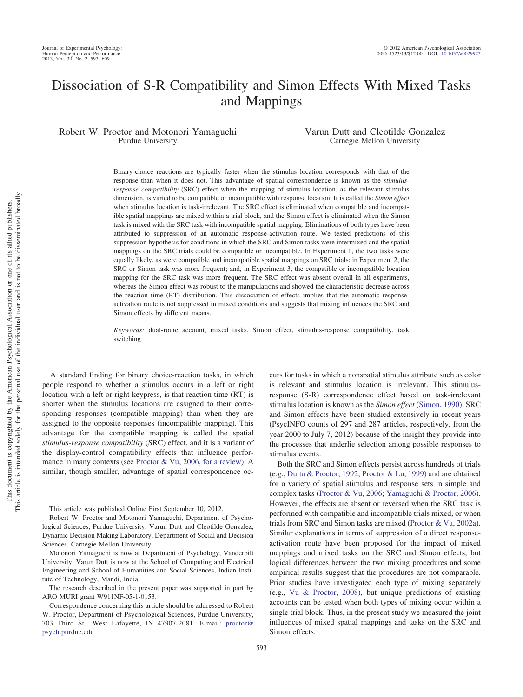# Dissociation of S-R Compatibility and Simon Effects With Mixed Tasks and Mappings

Robert W. Proctor and Motonori Yamaguchi Purdue University

Varun Dutt and Cleotilde Gonzalez Carnegie Mellon University

Binary-choice reactions are typically faster when the stimulus location corresponds with that of the response than when it does not. This advantage of spatial correspondence is known as the *stimulusresponse compatibility* (SRC) effect when the mapping of stimulus location, as the relevant stimulus dimension, is varied to be compatible or incompatible with response location. It is called the *Simon effect* when stimulus location is task-irrelevant. The SRC effect is eliminated when compatible and incompatible spatial mappings are mixed within a trial block, and the Simon effect is eliminated when the Simon task is mixed with the SRC task with incompatible spatial mapping. Eliminations of both types have been attributed to suppression of an automatic response-activation route. We tested predictions of this suppression hypothesis for conditions in which the SRC and Simon tasks were intermixed and the spatial mappings on the SRC trials could be compatible or incompatible. In Experiment 1, the two tasks were equally likely, as were compatible and incompatible spatial mappings on SRC trials; in Experiment 2, the SRC or Simon task was more frequent; and, in Experiment 3, the compatible or incompatible location mapping for the SRC task was more frequent. The SRC effect was absent overall in all experiments, whereas the Simon effect was robust to the manipulations and showed the characteristic decrease across the reaction time (RT) distribution. This dissociation of effects implies that the automatic responseactivation route is not suppressed in mixed conditions and suggests that mixing influences the SRC and Simon effects by different means.

*Keywords:* dual-route account, mixed tasks, Simon effect, stimulus-response compatibility, task switching

A standard finding for binary choice-reaction tasks, in which people respond to whether a stimulus occurs in a left or right location with a left or right keypress, is that reaction time (RT) is shorter when the stimulus locations are assigned to their corresponding responses (compatible mapping) than when they are assigned to the opposite responses (incompatible mapping). This advantage for the compatible mapping is called the spatial *stimulus-response compatibility* (SRC) effect, and it is a variant of the display-control compatibility effects that influence performance in many contexts (see [Proctor & Vu, 2006, for a review\)](#page-15-0). A similar, though smaller, advantage of spatial correspondence occurs for tasks in which a nonspatial stimulus attribute such as color is relevant and stimulus location is irrelevant. This stimulusresponse (S-R) correspondence effect based on task-irrelevant stimulus location is known as the *Simon effect* [\(Simon, 1990\)](#page-16-0). SRC and Simon effects have been studied extensively in recent years (PsycINFO counts of 297 and 287 articles, respectively, from the year 2000 to July 7, 2012) because of the insight they provide into the processes that underlie selection among possible responses to stimulus events.

Both the SRC and Simon effects persist across hundreds of trials (e.g., [Dutta & Proctor, 1992;](#page-15-1) [Proctor & Lu, 1999\)](#page-15-2) and are obtained for a variety of spatial stimulus and response sets in simple and complex tasks [\(Proctor & Vu, 2006;](#page-15-0) [Yamaguchi & Proctor, 2006\)](#page-16-1). However, the effects are absent or reversed when the SRC task is performed with compatible and incompatible trials mixed, or when trials from SRC and Simon tasks are mixed [\(Proctor & Vu, 2002a\)](#page-15-3). Similar explanations in terms of suppression of a direct responseactivation route have been proposed for the impact of mixed mappings and mixed tasks on the SRC and Simon effects, but logical differences between the two mixing procedures and some empirical results suggest that the procedures are not comparable. Prior studies have investigated each type of mixing separately (e.g., [Vu & Proctor, 2008\)](#page-16-2), but unique predictions of existing accounts can be tested when both types of mixing occur within a single trial block. Thus, in the present study we measured the joint influences of mixed spatial mappings and tasks on the SRC and Simon effects.

This article was published Online First September 10, 2012.

Robert W. Proctor and Motonori Yamaguchi, Department of Psychological Sciences, Purdue University; Varun Dutt and Cleotilde Gonzalez, Dynamic Decision Making Laboratory, Department of Social and Decision Sciences, Carnegie Mellon University.

Motonori Yamaguchi is now at Department of Psychology, Vanderbilt University. Varun Dutt is now at the School of Computing and Electrical Engineering and School of Humanities and Social Sciences, Indian Institute of Technology, Mandi, India.

The research described in the present paper was supported in part by ARO MURI grant W911NF-05-1-0153.

Correspondence concerning this article should be addressed to Robert W. Proctor, Department of Psychological Sciences, Purdue University, 703 Third St., West Lafayette, IN 47907-2081. E-mail: [proctor@](mailto:proctor@psych.purdue.edu) [psych.purdue.edu](mailto:proctor@psych.purdue.edu)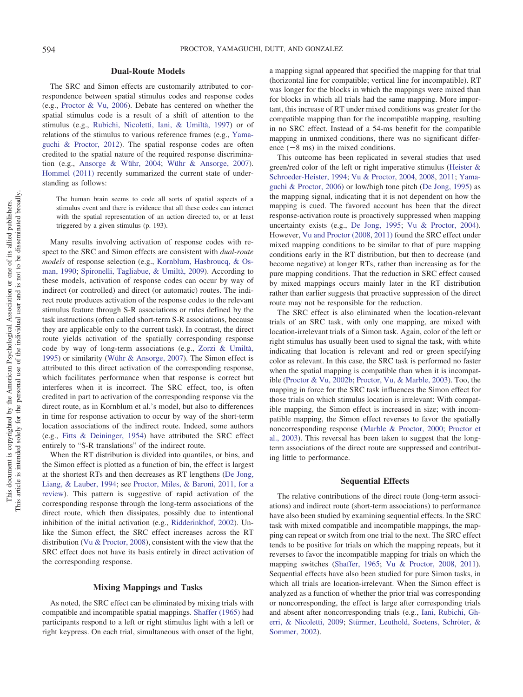# **Dual-Route Models**

The SRC and Simon effects are customarily attributed to correspondence between spatial stimulus codes and response codes (e.g., [Proctor & Vu, 2006\)](#page-15-0). Debate has centered on whether the spatial stimulus code is a result of a shift of attention to the stimulus (e.g., Rubichi, Nicoletti, Iani, & Umiltà, 1997) or of relations of the stimulus to various reference frames (e.g., [Yama](#page-16-4)[guchi & Proctor, 2012\)](#page-16-4). The spatial response codes are often credited to the spatial nature of the required response discrimination (e.g., [Ansorge & Wühr, 2004;](#page-15-4) [Wühr & Ansorge, 2007\)](#page-16-5). [Hommel \(2011\)](#page-15-5) recently summarized the current state of understanding as follows:

The human brain seems to code all sorts of spatial aspects of a stimulus event and there is evidence that all these codes can interact with the spatial representation of an action directed to, or at least triggered by a given stimulus (p. 193).

Many results involving activation of response codes with respect to the SRC and Simon effects are consistent with *dual-route models* of response selection (e.g., [Kornblum, Hasbroucq, & Os](#page-15-6)[man, 1990;](#page-15-6) Spironelli, Tagliabue, & Umiltà, 2009). According to these models, activation of response codes can occur by way of indirect (or controlled) and direct (or automatic) routes. The indirect route produces activation of the response codes to the relevant stimulus feature through S-R associations or rules defined by the task instructions (often called short-term S-R associations, because they are applicable only to the current task). In contrast, the direct route yields activation of the spatially corresponding response code by way of long-term associations (e.g., Zorzi & Umiltà, [1995\)](#page-16-7) or similarity [\(Wühr & Ansorge, 2007\)](#page-16-5). The Simon effect is attributed to this direct activation of the corresponding response, which facilitates performance when that response is correct but interferes when it is incorrect. The SRC effect, too, is often credited in part to activation of the corresponding response via the direct route, as in Kornblum et al.'s model, but also to differences in time for response activation to occur by way of the short-term location associations of the indirect route. Indeed, some authors (e.g., [Fitts & Deininger, 1954\)](#page-15-7) have attributed the SRC effect entirely to "S-R translations" of the indirect route.

When the RT distribution is divided into quantiles, or bins, and the Simon effect is plotted as a function of bin, the effect is largest at the shortest RTs and then decreases as RT lengthens [\(De Jong,](#page-15-8) [Liang, & Lauber, 1994;](#page-15-8) see [Proctor, Miles, & Baroni, 2011, for a](#page-15-9) [review\)](#page-15-9). This pattern is suggestive of rapid activation of the corresponding response through the long-term associations of the direct route, which then dissipates, possibly due to intentional inhibition of the initial activation (e.g., [Ridderinkhof, 2002\)](#page-16-8). Unlike the Simon effect, the SRC effect increases across the RT distribution [\(Vu & Proctor, 2008\)](#page-16-2), consistent with the view that the SRC effect does not have its basis entirely in direct activation of the corresponding response.

# **Mixing Mappings and Tasks**

As noted, the SRC effect can be eliminated by mixing trials with compatible and incompatible spatial mappings. [Shaffer \(1965\)](#page-16-9) had participants respond to a left or right stimulus light with a left or right keypress. On each trial, simultaneous with onset of the light, a mapping signal appeared that specified the mapping for that trial (horizontal line for compatible; vertical line for incompatible). RT was longer for the blocks in which the mappings were mixed than for blocks in which all trials had the same mapping. More important, this increase of RT under mixed conditions was greater for the compatible mapping than for the incompatible mapping, resulting in no SRC effect. Instead of a 54-ms benefit for the compatible mapping in unmixed conditions, there was no significant difference  $(-8 \text{ ms})$  in the mixed conditions.

This outcome has been replicated in several studies that used green/red color of the left or right imperative stimulus [\(Heister &](#page-15-10) [Schroeder-Heister, 1994;](#page-15-10) [Vu & Proctor, 2004,](#page-16-10) [2008,](#page-16-2) [2011;](#page-16-11) [Yama](#page-16-1)[guchi & Proctor, 2006\)](#page-16-1) or low/high tone pitch [\(De Jong, 1995\)](#page-15-8) as the mapping signal, indicating that it is not dependent on how the mapping is cued. The favored account has been that the direct response-activation route is proactively suppressed when mapping uncertainty exists (e.g., [De Jong, 1995;](#page-15-8) [Vu & Proctor, 2004\)](#page-16-10). However, [Vu and Proctor \(2008,](#page-16-2) [2011\)](#page-16-11) found the SRC effect under mixed mapping conditions to be similar to that of pure mapping conditions early in the RT distribution, but then to decrease (and become negative) at longer RTs, rather than increasing as for the pure mapping conditions. That the reduction in SRC effect caused by mixed mappings occurs mainly later in the RT distribution rather than earlier suggests that proactive suppression of the direct route may not be responsible for the reduction.

The SRC effect is also eliminated when the location-relevant trials of an SRC task, with only one mapping, are mixed with location-irrelevant trials of a Simon task. Again, color of the left or right stimulus has usually been used to signal the task, with white indicating that location is relevant and red or green specifying color as relevant. In this case, the SRC task is performed no faster when the spatial mapping is compatible than when it is incompatible [\(Proctor & Vu, 2002b;](#page-15-11) [Proctor, Vu, & Marble, 2003\)](#page-15-12). Too, the mapping in force for the SRC task influences the Simon effect for those trials on which stimulus location is irrelevant: With compatible mapping, the Simon effect is increased in size; with incompatible mapping, the Simon effect reverses to favor the spatially noncorresponding response [\(Marble & Proctor, 2000;](#page-15-13) [Proctor et](#page-15-12) [al., 2003\)](#page-15-12). This reversal has been taken to suggest that the longterm associations of the direct route are suppressed and contributing little to performance.

# **Sequential Effects**

The relative contributions of the direct route (long-term associations) and indirect route (short-term associations) to performance have also been studied by examining sequential effects. In the SRC task with mixed compatible and incompatible mappings, the mapping can repeat or switch from one trial to the next. The SRC effect tends to be positive for trials on which the mapping repeats, but it reverses to favor the incompatible mapping for trials on which the mapping switches [\(Shaffer, 1965;](#page-16-9) [Vu & Proctor, 2008,](#page-16-2) [2011\)](#page-16-11). Sequential effects have also been studied for pure Simon tasks, in which all trials are location-irrelevant. When the Simon effect is analyzed as a function of whether the prior trial was corresponding or noncorresponding, the effect is large after corresponding trials and absent after noncorresponding trials (e.g., [Iani, Rubichi, Gh](#page-15-14)[erri, & Nicoletti, 2009;](#page-15-14) [Stürmer, Leuthold, Soetens, Schröter, &](#page-16-12) [Sommer, 2002\)](#page-16-12).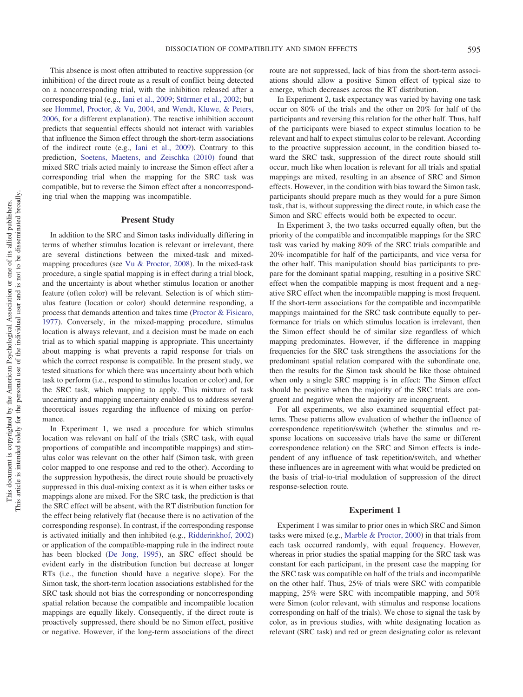This absence is most often attributed to reactive suppression (or inhibition) of the direct route as a result of conflict being detected on a noncorresponding trial, with the inhibition released after a corresponding trial (e.g., [Iani et al., 2009;](#page-15-14) [Stürmer et al., 2002;](#page-16-12) but see [Hommel, Proctor, & Vu, 2004,](#page-15-15) and [Wendt, Kluwe, & Peters,](#page-16-13) [2006,](#page-16-13) for a different explanation). The reactive inhibition account predicts that sequential effects should not interact with variables that influence the Simon effect through the short-term associations of the indirect route (e.g., [Iani et al., 2009\)](#page-15-14). Contrary to this prediction, [Soetens, Maetens, and Zeischka \(2010\)](#page-16-14) found that mixed SRC trials acted mainly to increase the Simon effect after a corresponding trial when the mapping for the SRC task was compatible, but to reverse the Simon effect after a noncorresponding trial when the mapping was incompatible.

# **Present Study**

In addition to the SRC and Simon tasks individually differing in terms of whether stimulus location is relevant or irrelevant, there are several distinctions between the mixed-task and mixedmapping procedures (see [Vu & Proctor, 2008\)](#page-16-2). In the mixed-task procedure, a single spatial mapping is in effect during a trial block, and the uncertainty is about whether stimulus location or another feature (often color) will be relevant. Selection is of which stimulus feature (location or color) should determine responding, a process that demands attention and takes time [\(Proctor & Fisicaro,](#page-15-16) [1977\)](#page-15-16). Conversely, in the mixed-mapping procedure, stimulus location is always relevant, and a decision must be made on each trial as to which spatial mapping is appropriate. This uncertainty about mapping is what prevents a rapid response for trials on which the correct response is compatible. In the present study, we tested situations for which there was uncertainty about both which task to perform (i.e., respond to stimulus location or color) and, for the SRC task, which mapping to apply. This mixture of task uncertainty and mapping uncertainty enabled us to address several theoretical issues regarding the influence of mixing on performance.

In Experiment 1, we used a procedure for which stimulus location was relevant on half of the trials (SRC task, with equal proportions of compatible and incompatible mappings) and stimulus color was relevant on the other half (Simon task, with green color mapped to one response and red to the other). According to the suppression hypothesis, the direct route should be proactively suppressed in this dual-mixing context as it is when either tasks or mappings alone are mixed. For the SRC task, the prediction is that the SRC effect will be absent, with the RT distribution function for the effect being relatively flat (because there is no activation of the corresponding response). In contrast, if the corresponding response is activated initially and then inhibited (e.g., [Ridderinkhof, 2002\)](#page-16-8) or application of the compatible-mapping rule in the indirect route has been blocked [\(De Jong, 1995\)](#page-15-8), an SRC effect should be evident early in the distribution function but decrease at longer RTs (i.e., the function should have a negative slope). For the Simon task, the short-term location associations established for the SRC task should not bias the corresponding or noncorresponding spatial relation because the compatible and incompatible location mappings are equally likely. Consequently, if the direct route is proactively suppressed, there should be no Simon effect, positive or negative. However, if the long-term associations of the direct route are not suppressed, lack of bias from the short-term associations should allow a positive Simon effect of typical size to emerge, which decreases across the RT distribution.

In Experiment 2, task expectancy was varied by having one task occur on 80% of the trials and the other on 20% for half of the participants and reversing this relation for the other half. Thus, half of the participants were biased to expect stimulus location to be relevant and half to expect stimulus color to be relevant. According to the proactive suppression account, in the condition biased toward the SRC task, suppression of the direct route should still occur, much like when location is relevant for all trials and spatial mappings are mixed, resulting in an absence of SRC and Simon effects. However, in the condition with bias toward the Simon task, participants should prepare much as they would for a pure Simon task, that is, without suppressing the direct route, in which case the Simon and SRC effects would both be expected to occur.

In Experiment 3, the two tasks occurred equally often, but the priority of the compatible and incompatible mappings for the SRC task was varied by making 80% of the SRC trials compatible and 20% incompatible for half of the participants, and vice versa for the other half. This manipulation should bias participants to prepare for the dominant spatial mapping, resulting in a positive SRC effect when the compatible mapping is most frequent and a negative SRC effect when the incompatible mapping is most frequent. If the short-term associations for the compatible and incompatible mappings maintained for the SRC task contribute equally to performance for trials on which stimulus location is irrelevant, then the Simon effect should be of similar size regardless of which mapping predominates. However, if the difference in mapping frequencies for the SRC task strengthens the associations for the predominant spatial relation compared with the subordinate one, then the results for the Simon task should be like those obtained when only a single SRC mapping is in effect: The Simon effect should be positive when the majority of the SRC trials are congruent and negative when the majority are incongruent.

For all experiments, we also examined sequential effect patterns. These patterns allow evaluation of whether the influence of correspondence repetition/switch (whether the stimulus and response locations on successive trials have the same or different correspondence relation) on the SRC and Simon effects is independent of any influence of task repetition/switch, and whether these influences are in agreement with what would be predicted on the basis of trial-to-trial modulation of suppression of the direct response-selection route.

#### **Experiment 1**

Experiment 1 was similar to prior ones in which SRC and Simon tasks were mixed (e.g., [Marble & Proctor, 2000\)](#page-15-13) in that trials from each task occurred randomly, with equal frequency. However, whereas in prior studies the spatial mapping for the SRC task was constant for each participant, in the present case the mapping for the SRC task was compatible on half of the trials and incompatible on the other half. Thus, 25% of trials were SRC with compatible mapping, 25% were SRC with incompatible mapping, and 50% were Simon (color relevant, with stimulus and response locations corresponding on half of the trials). We chose to signal the task by color, as in previous studies, with white designating location as relevant (SRC task) and red or green designating color as relevant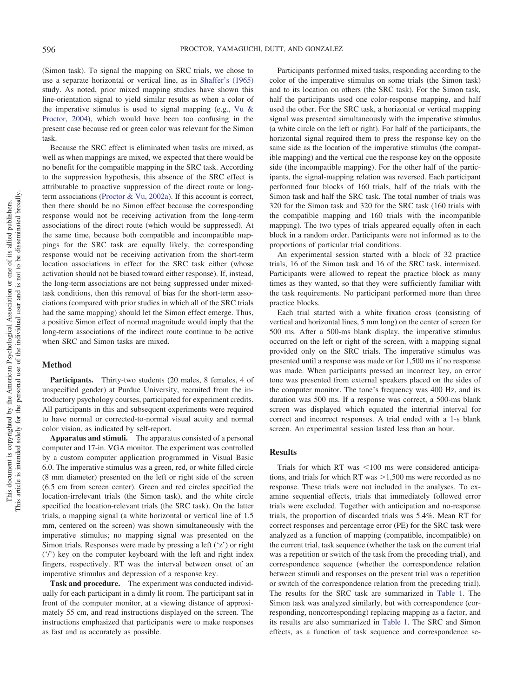(Simon task). To signal the mapping on SRC trials, we chose to use a separate horizontal or vertical line, as in [Shaffer's \(1965\)](#page-16-9) study. As noted, prior mixed mapping studies have shown this line-orientation signal to yield similar results as when a color of the imperative stimulus is used to signal mapping (e.g., [Vu &](#page-16-10) [Proctor, 2004\)](#page-16-10), which would have been too confusing in the present case because red or green color was relevant for the Simon task.

Because the SRC effect is eliminated when tasks are mixed, as well as when mappings are mixed, we expected that there would be no benefit for the compatible mapping in the SRC task. According to the suppression hypothesis, this absence of the SRC effect is attributable to proactive suppression of the direct route or longterm associations [\(Proctor & Vu, 2002a\)](#page-15-3). If this account is correct, then there should be no Simon effect because the corresponding response would not be receiving activation from the long-term associations of the direct route (which would be suppressed). At the same time, because both compatible and incompatible mappings for the SRC task are equally likely, the corresponding response would not be receiving activation from the short-term location associations in effect for the SRC task either (whose activation should not be biased toward either response). If, instead, the long-term associations are not being suppressed under mixedtask conditions, then this removal of bias for the short-term associations (compared with prior studies in which all of the SRC trials had the same mapping) should let the Simon effect emerge. Thus, a positive Simon effect of normal magnitude would imply that the long-term associations of the indirect route continue to be active when SRC and Simon tasks are mixed.

# **Method**

Participants. Thirty-two students (20 males, 8 females, 4 of unspecified gender) at Purdue University, recruited from the introductory psychology courses, participated for experiment credits. All participants in this and subsequent experiments were required to have normal or corrected-to-normal visual acuity and normal color vision, as indicated by self-report.

**Apparatus and stimuli.** The apparatus consisted of a personal computer and 17-in. VGA monitor. The experiment was controlled by a custom computer application programmed in Visual Basic 6.0. The imperative stimulus was a green, red, or white filled circle (8 mm diameter) presented on the left or right side of the screen (6.5 cm from screen center). Green and red circles specified the location-irrelevant trials (the Simon task), and the white circle specified the location-relevant trials (the SRC task). On the latter trials, a mapping signal (a white horizontal or vertical line of 1.5 mm, centered on the screen) was shown simultaneously with the imperative stimulus; no mapping signal was presented on the Simon trials. Responses were made by pressing a left ('z') or right ('/') key on the computer keyboard with the left and right index fingers, respectively. RT was the interval between onset of an imperative stimulus and depression of a response key.

**Task and procedure.** The experiment was conducted individually for each participant in a dimly lit room. The participant sat in front of the computer monitor, at a viewing distance of approximately 55 cm, and read instructions displayed on the screen. The instructions emphasized that participants were to make responses as fast and as accurately as possible.

Participants performed mixed tasks, responding according to the color of the imperative stimulus on some trials (the Simon task) and to its location on others (the SRC task). For the Simon task, half the participants used one color-response mapping, and half used the other. For the SRC task, a horizontal or vertical mapping signal was presented simultaneously with the imperative stimulus (a white circle on the left or right). For half of the participants, the horizontal signal required them to press the response key on the same side as the location of the imperative stimulus (the compatible mapping) and the vertical cue the response key on the opposite side (the incompatible mapping). For the other half of the participants, the signal-mapping relation was reversed. Each participant performed four blocks of 160 trials, half of the trials with the Simon task and half the SRC task. The total number of trials was 320 for the Simon task and 320 for the SRC task (160 trials with the compatible mapping and 160 trials with the incompatible mapping). The two types of trials appeared equally often in each block in a random order. Participants were not informed as to the proportions of particular trial conditions.

An experimental session started with a block of 32 practice trials, 16 of the Simon task and 16 of the SRC task, intermixed. Participants were allowed to repeat the practice block as many times as they wanted, so that they were sufficiently familiar with the task requirements. No participant performed more than three practice blocks.

Each trial started with a white fixation cross (consisting of vertical and horizontal lines, 5 mm long) on the center of screen for 500 ms. After a 500-ms blank display, the imperative stimulus occurred on the left or right of the screen, with a mapping signal provided only on the SRC trials. The imperative stimulus was presented until a response was made or for 1,500 ms if no response was made. When participants pressed an incorrect key, an error tone was presented from external speakers placed on the sides of the computer monitor. The tone's frequency was 400 Hz, and its duration was 500 ms. If a response was correct, a 500-ms blank screen was displayed which equated the intertrial interval for correct and incorrect responses. A trial ended with a 1-s blank screen. An experimental session lasted less than an hour.

# **Results**

Trials for which RT was  $\leq 100$  ms were considered anticipations, and trials for which RT was  $>1,500$  ms were recorded as no response. These trials were not included in the analyses. To examine sequential effects, trials that immediately followed error trials were excluded. Together with anticipation and no-response trials, the proportion of discarded trials was 5.4%. Mean RT for correct responses and percentage error (PE) for the SRC task were analyzed as a function of mapping (compatible, incompatible) on the current trial, task sequence (whether the task on the current trial was a repetition or switch of the task from the preceding trial), and correspondence sequence (whether the correspondence relation between stimuli and responses on the present trial was a repetition or switch of the correspondence relation from the preceding trial). The results for the SRC task are summarized in [Table 1.](#page-4-0) The Simon task was analyzed similarly, but with correspondence (corresponding, noncorresponding) replacing mapping as a factor, and its results are also summarized in [Table 1.](#page-4-0) The SRC and Simon effects, as a function of task sequence and correspondence se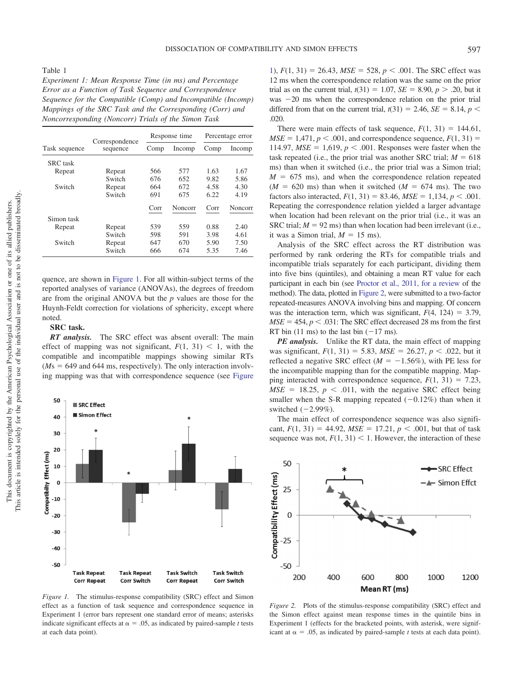<span id="page-4-0"></span>Table 1

*Experiment 1: Mean Response Time (in ms) and Percentage Error as a Function of Task Sequence and Correspondence Sequence for the Compatible (Comp) and Incompatible (Incomp) Mappings of the SRC Task and the Corresponding (Corr) and Noncorresponding (Noncorr) Trials of the Simon Task*

|                 | Correspondence<br>sequence |      | Response time | Percentage error |         |
|-----------------|----------------------------|------|---------------|------------------|---------|
| Task sequence   |                            | Comp | Incomp        | Comp             | Incomp  |
| <b>SRC</b> task |                            |      |               |                  |         |
| Repeat          | Repeat                     | 566  | 577           | 1.63             | 1.67    |
|                 | Switch                     | 676  | 652           | 9.82             | 5.86    |
| Switch          | Repeat                     | 664  | 672           | 4.58             | 4.30    |
|                 | Switch                     | 691  | 675           | 6.22             | 4.19    |
|                 |                            | Corr | Noncorr       | Corr             | Noncorr |
| Simon task      |                            |      |               |                  |         |
| Repeat          | Repeat                     | 539  | 559           | 0.88             | 2.40    |
|                 | Switch                     | 598  | 591           | 3.98             | 4.61    |
| Switch          | Repeat                     | 647  | 670           | 5.90             | 7.50    |
|                 | Switch                     | 666  | 674           | 5.35             | 7.46    |

quence, are shown in [Figure 1.](#page-4-1) For all within-subject terms of the reported analyses of variance (ANOVAs), the degrees of freedom are from the original ANOVA but the *p* values are those for the Huynh-Feldt correction for violations of sphericity, except where noted.

# **SRC task.**

*RT analysis.* The SRC effect was absent overall: The main effect of mapping was not significant,  $F(1, 31) < 1$ , with the compatible and incompatible mappings showing similar RTs  $(Ms = 649$  and 644 ms, respectively). The only interaction involving mapping was that with correspondence sequence (see [Figure](#page-4-1)



<span id="page-4-1"></span>*Figure 1.* The stimulus-response compatibility (SRC) effect and Simon effect as a function of task sequence and correspondence sequence in Experiment 1 (error bars represent one standard error of means; asterisks indicate significant effects at  $\alpha = .05$ , as indicated by paired-sample *t* tests at each data point).

[1\)](#page-4-1),  $F(1, 31) = 26.43$ ,  $MSE = 528$ ,  $p < .001$ . The SRC effect was 12 ms when the correspondence relation was the same on the prior trial as on the current trial,  $t(31) = 1.07$ ,  $SE = 8.90$ ,  $p > .20$ , but it was  $-20$  ms when the correspondence relation on the prior trial differed from that on the current trial,  $t(31) = 2.46$ ,  $SE = 8.14$ ,  $p <$ .020.

There were main effects of task sequence,  $F(1, 31) = 144.61$ ,  $MSE = 1,471, p < .001$ , and correspondence sequence,  $F(1, 31) =$ 114.97,  $MSE = 1,619$ ,  $p < .001$ . Responses were faster when the task repeated (i.e., the prior trial was another SRC trial;  $M = 618$ ms) than when it switched (i.e., the prior trial was a Simon trial;  $M = 675$  ms), and when the correspondence relation repeated  $(M = 620 \text{ ms})$  than when it switched  $(M = 674 \text{ ms})$ . The two factors also interacted,  $F(1, 31) = 83.46$ ,  $MSE = 1,134$ ,  $p < .001$ . Repeating the correspondence relation yielded a larger advantage when location had been relevant on the prior trial (i.e., it was an SRC trial;  $M = 92$  ms) than when location had been irrelevant (i.e., it was a Simon trial,  $M = 15$  ms).

Analysis of the SRC effect across the RT distribution was performed by rank ordering the RTs for compatible trials and incompatible trials separately for each participant, dividing them into five bins (quintiles), and obtaining a mean RT value for each participant in each bin (see [Proctor et al., 2011, for a review](#page-15-9) of the method). The data, plotted in [Figure 2,](#page-4-2) were submitted to a two-factor repeated-measures ANOVA involving bins and mapping. Of concern was the interaction term, which was significant,  $F(4, 124) = 3.79$ ,  $MSE = 454$ ,  $p < .031$ : The SRC effect decreased 28 ms from the first RT bin (11 ms) to the last bin  $(-17 \text{ ms})$ .

*PE analysis.* Unlike the RT data, the main effect of mapping was significant,  $F(1, 31) = 5.83$ ,  $MSE = 26.27$ ,  $p < .022$ , but it reflected a negative SRC effect ( $M = -1.56\%$ ), with PE less for the incompatible mapping than for the compatible mapping. Mapping interacted with correspondence sequence,  $F(1, 31) = 7.23$ ,  $MSE = 18.25$ ,  $p < .011$ , with the negative SRC effect being smaller when the S-R mapping repeated  $(-0.12\%)$  than when it switched  $(-2.99\%)$ .

The main effect of correspondence sequence was also significant,  $F(1, 31) = 44.92$ ,  $MSE = 17.21$ ,  $p < .001$ , but that of task sequence was not,  $F(1, 31)$  < 1. However, the interaction of these



<span id="page-4-2"></span>*Figure 2.* Plots of the stimulus-response compatibility (SRC) effect and the Simon effect against mean response times in the quintile bins in Experiment 1 (effects for the bracketed points, with asterisk, were significant at  $\alpha = .05$ , as indicated by paired-sample *t* tests at each data point).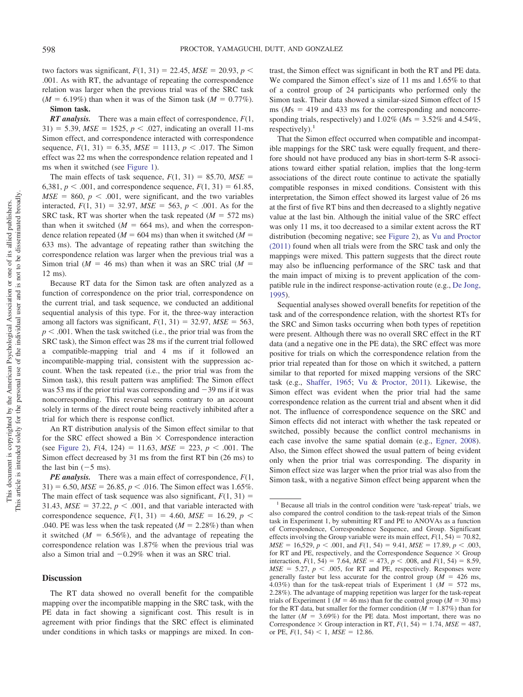two factors was significant,  $F(1, 31) = 22.45$ ,  $MSE = 20.93$ ,  $p <$ .001. As with RT, the advantage of repeating the correspondence relation was larger when the previous trial was of the SRC task  $(M = 6.19\%)$  than when it was of the Simon task  $(M = 0.77\%)$ . **Simon task.**

*RT analysis.* There was a main effect of correspondence, *F*(1,  $31) = 5.39$ ,  $MSE = 1525$ ,  $p < .027$ , indicating an overall 11-ms Simon effect, and correspondence interacted with correspondence sequence,  $F(1, 31) = 6.35$ ,  $MSE = 1113$ ,  $p < .017$ . The Simon effect was 22 ms when the correspondence relation repeated and 1 ms when it switched (see [Figure 1\)](#page-4-1).

The main effects of task sequence,  $F(1, 31) = 85.70$ ,  $MSE =$ 6,381,  $p < .001$ , and correspondence sequence,  $F(1, 31) = 61.85$ ,  $MSE = 860$ ,  $p < .001$ , were significant, and the two variables interacted,  $F(1, 31) = 32.97$ ,  $MSE = 563$ ,  $p < .001$ . As for the SRC task, RT was shorter when the task repeated  $(M = 572 \text{ ms})$ than when it switched ( $M = 664$  ms), and when the correspondence relation repeated ( $M = 604$  ms) than when it switched ( $M =$ 633 ms). The advantage of repeating rather than switching the correspondence relation was larger when the previous trial was a Simon trial ( $M = 46$  ms) than when it was an SRC trial ( $M =$ 12 ms).

Because RT data for the Simon task are often analyzed as a function of correspondence on the prior trial, correspondence on the current trial, and task sequence, we conducted an additional sequential analysis of this type. For it, the three-way interaction among all factors was significant,  $F(1, 31) = 32.97$ ,  $MSE = 563$ ,  $p < .001$ . When the task switched (i.e., the prior trial was from the SRC task), the Simon effect was 28 ms if the current trial followed a compatible-mapping trial and 4 ms if it followed an incompatible-mapping trial, consistent with the suppression account. When the task repeated (i.e., the prior trial was from the Simon task), this result pattern was amplified: The Simon effect was 53 ms if the prior trial was corresponding and  $-39$  ms if it was noncorresponding. This reversal seems contrary to an account solely in terms of the direct route being reactively inhibited after a trial for which there is response conflict.

An RT distribution analysis of the Simon effect similar to that for the SRC effect showed a Bin  $\times$  Correspondence interaction (see [Figure 2\)](#page-4-2),  $F(4, 124) = 11.63$ ,  $MSE = 223$ ,  $p < .001$ . The Simon effect decreased by 31 ms from the first RT bin (26 ms) to the last bin  $(-5 \text{ ms})$ .

*PE analysis.* There was a main effect of correspondence, *F*(1,  $31$ ) = 6.50,  $MSE = 26.85$ ,  $p < .016$ . The Simon effect was 1.65%. The main effect of task sequence was also significant,  $F(1, 31) =$ 31.43,  $MSE = 37.22$ ,  $p < .001$ , and that variable interacted with correspondence sequence,  $F(1, 31) = 4.60$ ,  $MSE = 16.29$ ,  $p <$ .040. PE was less when the task repeated  $(M = 2.28\%)$  than when it switched  $(M = 6.56\%)$ , and the advantage of repeating the correspondence relation was 1.87% when the previous trial was also a Simon trial and  $-0.29\%$  when it was an SRC trial.

#### **Discussion**

The RT data showed no overall benefit for the compatible mapping over the incompatible mapping in the SRC task, with the PE data in fact showing a significant cost. This result is in agreement with prior findings that the SRC effect is eliminated under conditions in which tasks or mappings are mixed. In contrast, the Simon effect was significant in both the RT and PE data. We compared the Simon effect's size of 11 ms and 1.65% to that of a control group of 24 participants who performed only the Simon task. Their data showed a similar-sized Simon effect of 15 ms  $(Ms = 419$  and 433 ms for the corresponding and noncorresponding trials, respectively) and  $1.02\%$  ( $Ms = 3.52\%$  and  $4.54\%$ , respectively). $<sup>1</sup>$ </sup>

That the Simon effect occurred when compatible and incompatible mappings for the SRC task were equally frequent, and therefore should not have produced any bias in short-term S-R associations toward either spatial relation, implies that the long-term associations of the direct route continue to activate the spatially compatible responses in mixed conditions. Consistent with this interpretation, the Simon effect showed its largest value of 26 ms at the first of five RT bins and then decreased to a slightly negative value at the last bin. Although the initial value of the SRC effect was only 11 ms, it too decreased to a similar extent across the RT distribution (becoming negative; see [Figure 2\)](#page-4-2), as [Vu and Proctor](#page-16-11) [\(2011\)](#page-16-11) found when all trials were from the SRC task and only the mappings were mixed. This pattern suggests that the direct route may also be influencing performance of the SRC task and that the main impact of mixing is to prevent application of the compatible rule in the indirect response-activation route (e.g., [De Jong,](#page-15-17) [1995\)](#page-15-17).

Sequential analyses showed overall benefits for repetition of the task and of the correspondence relation, with the shortest RTs for the SRC and Simon tasks occurring when both types of repetition were present. Although there was no overall SRC effect in the RT data (and a negative one in the PE data), the SRC effect was more positive for trials on which the correspondence relation from the prior trial repeated than for those on which it switched, a pattern similar to that reported for mixed mapping versions of the SRC task (e.g., [Shaffer, 1965;](#page-16-9) [Vu & Proctor, 2011\)](#page-16-11). Likewise, the Simon effect was evident when the prior trial had the same correspondence relation as the current trial and absent when it did not. The influence of correspondence sequence on the SRC and Simon effects did not interact with whether the task repeated or switched, possibly because the conflict control mechanisms in each case involve the same spatial domain (e.g., [Egner, 2008\)](#page-15-18). Also, the Simon effect showed the usual pattern of being evident only when the prior trial was corresponding. The disparity in Simon effect size was larger when the prior trial was also from the Simon task, with a negative Simon effect being apparent when the

<sup>&</sup>lt;sup>1</sup> Because all trials in the control condition were 'task-repeat' trials, we also compared the control condition to the task-repeat trials of the Simon task in Experiment 1, by submitting RT and PE to ANOVAs as a function of Correspondence, Correspondence Sequence, and Group. Significant effects involving the Group variable were its main effect,  $F(1, 54) = 70.82$ ,  $MSE = 16,529, p < .001,$  and  $F(1, 54) = 9.41, MSE = 17.89, p < .003,$ for RT and PE, respectively, and the Correspondence Sequence  $\times$  Group interaction,  $F(1, 54) = 7.64$ ,  $MSE = 473$ ,  $p < .008$ , and  $F(1, 54) = 8.59$ ,  $MSE = 5.27$ ,  $p < .005$ , for RT and PE, respectively. Responses were generally faster but less accurate for the control group ( $M = 426$  ms, 4.03%) than for the task-repeat trials of Experiment 1 ( $M = 572$  ms, 2.28%). The advantage of mapping repetition was larger for the task-repeat trials of Experiment 1 ( $M = 46$  ms) than for the control group ( $M = 30$  ms) for the RT data, but smaller for the former condition ( $M = 1.87\%$ ) than for the latter  $(M = 3.69\%)$  for the PE data. Most important, there was no Correspondence  $\times$  Group interaction in RT,  $F(1, 54) = 1.74$ ,  $MSE = 487$ , or PE,  $F(1, 54) < 1$ ,  $MSE = 12.86$ .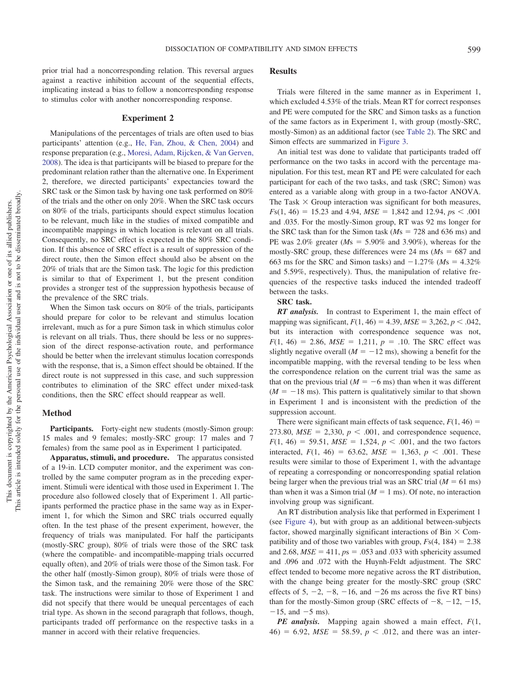prior trial had a noncorresponding relation. This reversal argues against a reactive inhibition account of the sequential effects, implicating instead a bias to follow a noncorresponding response to stimulus color with another noncorresponding response.

#### **Experiment 2**

Manipulations of the percentages of trials are often used to bias participants' attention (e.g., [He, Fan, Zhou, & Chen, 2004\)](#page-15-19) and response preparation (e.g., [Moresi, Adam, Rijcken, & Van Gerven,](#page-15-20) [2008\)](#page-15-20). The idea is that participants will be biased to prepare for the predominant relation rather than the alternative one. In Experiment 2, therefore, we directed participants' expectancies toward the SRC task or the Simon task by having one task performed on 80% of the trials and the other on only 20%. When the SRC task occurs on 80% of the trials, participants should expect stimulus location to be relevant, much like in the studies of mixed compatible and incompatible mappings in which location is relevant on all trials. Consequently, no SRC effect is expected in the 80% SRC condition. If this absence of SRC effect is a result of suppression of the direct route, then the Simon effect should also be absent on the 20% of trials that are the Simon task. The logic for this prediction is similar to that of Experiment 1, but the present condition provides a stronger test of the suppression hypothesis because of the prevalence of the SRC trials.

When the Simon task occurs on 80% of the trials, participants should prepare for color to be relevant and stimulus location irrelevant, much as for a pure Simon task in which stimulus color is relevant on all trials. Thus, there should be less or no suppression of the direct response-activation route, and performance should be better when the irrelevant stimulus location corresponds with the response, that is, a Simon effect should be obtained. If the direct route is not suppressed in this case, and such suppression contributes to elimination of the SRC effect under mixed-task conditions, then the SRC effect should reappear as well.

# **Method**

Participants. Forty-eight new students (mostly-Simon group: 15 males and 9 females; mostly-SRC group: 17 males and 7 females) from the same pool as in Experiment 1 participated.

**Apparatus, stimuli, and procedure.** The apparatus consisted of a 19-in. LCD computer monitor, and the experiment was controlled by the same computer program as in the preceding experiment. Stimuli were identical with those used in Experiment 1. The procedure also followed closely that of Experiment 1. All participants performed the practice phase in the same way as in Experiment 1, for which the Simon and SRC trials occurred equally often. In the test phase of the present experiment, however, the frequency of trials was manipulated. For half the participants (mostly-SRC group), 80% of trials were those of the SRC task (where the compatible- and incompatible-mapping trials occurred equally often), and 20% of trials were those of the Simon task. For the other half (mostly-Simon group), 80% of trials were those of the Simon task, and the remaining 20% were those of the SRC task. The instructions were similar to those of Experiment 1 and did not specify that there would be unequal percentages of each trial type. As shown in the second paragraph that follows, though, participants traded off performance on the respective tasks in a manner in accord with their relative frequencies.

# **Results**

Trials were filtered in the same manner as in Experiment 1, which excluded 4.53% of the trials. Mean RT for correct responses and PE were computed for the SRC and Simon tasks as a function of the same factors as in Experiment 1, with group (mostly-SRC, mostly-Simon) as an additional factor (see [Table 2\)](#page-7-0). The SRC and Simon effects are summarized in [Figure 3.](#page-7-1)

An initial test was done to validate that participants traded off performance on the two tasks in accord with the percentage manipulation. For this test, mean RT and PE were calculated for each participant for each of the two tasks, and task (SRC; Simon) was entered as a variable along with group in a two-factor ANOVA. The Task  $\times$  Group interaction was significant for both measures,  $Fs(1, 46) = 15.23$  and 4.94,  $MSE = 1,842$  and 12.94,  $ps < .001$ and .035. For the mostly-Simon group, RT was 92 ms longer for the SRC task than for the Simon task ( $Ms = 728$  and 636 ms) and PE was  $2.0\%$  greater ( $Ms = 5.90\%$  and  $3.90\%$ ), whereas for the mostly-SRC group, these differences were 24 ms  $(Ms = 687$  and 663 ms for the SRC and Simon tasks) and  $-1.27\%$  (*Ms = 4.32%*) and 5.59%, respectively). Thus, the manipulation of relative frequencies of the respective tasks induced the intended tradeoff between the tasks.

#### **SRC task.**

*RT analysis.* In contrast to Experiment 1, the main effect of mapping was significant,  $F(1, 46) = 4.39$ ,  $MSE = 3,262$ ,  $p < .042$ , but its interaction with correspondence sequence was not,  $F(1, 46) = 2.86$ ,  $MSE = 1,211$ ,  $p = .10$ . The SRC effect was slightly negative overall ( $M = -12$  ms), showing a benefit for the incompatible mapping, with the reversal tending to be less when the correspondence relation on the current trial was the same as that on the previous trial ( $M = -6$  ms) than when it was different  $(M = -18 \text{ ms})$ . This pattern is qualitatively similar to that shown in Experiment 1 and is inconsistent with the prediction of the suppression account.

There were significant main effects of task sequence,  $F(1, 46) =$ 273.80,  $MSE = 2,330, p < .001$ , and correspondence sequence,  $F(1, 46) = 59.51$ ,  $MSE = 1,524$ ,  $p < .001$ , and the two factors interacted,  $F(1, 46) = 63.62$ ,  $MSE = 1,363$ ,  $p < .001$ . These results were similar to those of Experiment 1, with the advantage of repeating a corresponding or noncorresponding spatial relation being larger when the previous trial was an SRC trial  $(M = 61 \text{ ms})$ than when it was a Simon trial  $(M = 1 \text{ ms})$ . Of note, no interaction involving group was significant.

An RT distribution analysis like that performed in Experiment 1 (see [Figure 4\)](#page-8-0), but with group as an additional between-subjects factor, showed marginally significant interactions of Bin  $\times$  Compatibility and of those two variables with group,  $F<sub>S</sub>(4, 184) = 2.38$ and 2.68,  $MSE = 411$ ,  $ps = .053$  and .033 with sphericity assumed and .096 and .072 with the Huynh-Feldt adjustment. The SRC effect tended to become more negative across the RT distribution, with the change being greater for the mostly-SRC group (SRC effects of 5,  $-2$ ,  $-8$ ,  $-16$ , and  $-26$  ms across the five RT bins) than for the mostly-Simon group (SRC effects of  $-8$ ,  $-12$ ,  $-15$ ,  $-15$ , and  $-5$  ms).

*PE analysis.* Mapping again showed a main effect, *F*(1,  $46) = 6.92$ ,  $MSE = 58.59$ ,  $p < .012$ , and there was an inter-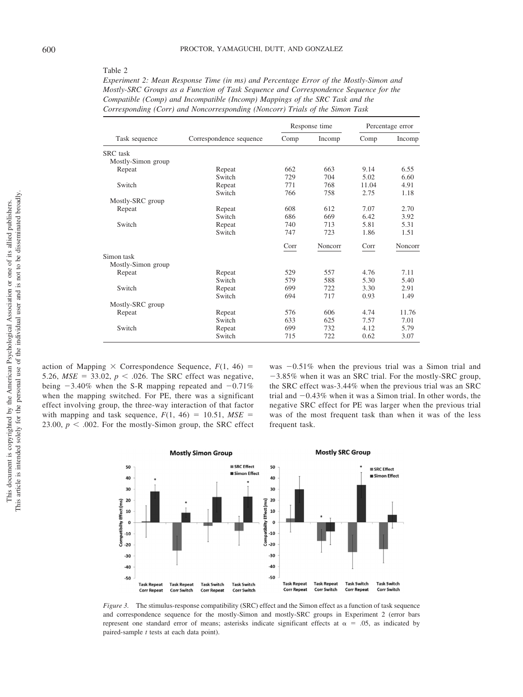# <span id="page-7-0"></span>Table 2

*Experiment 2: Mean Response Time (in ms) and Percentage Error of the Mostly-Simon and Mostly-SRC Groups as a Function of Task Sequence and Correspondence Sequence for the Compatible (Comp) and Incompatible (Incomp) Mappings of the SRC Task and the Corresponding (Corr) and Noncorresponding (Noncorr) Trials of the Simon Task*

|                    | Correspondence sequence |      | Response time | Percentage error |         |
|--------------------|-------------------------|------|---------------|------------------|---------|
| Task sequence      |                         | Comp | Incomp        | Comp             | Incomp  |
| <b>SRC</b> task    |                         |      |               |                  |         |
| Mostly-Simon group |                         |      |               |                  |         |
| Repeat             | Repeat                  | 662  | 663           | 9.14             | 6.55    |
|                    | Switch                  | 729  | 704           | 5.02             | 6.60    |
| Switch             | Repeat                  | 771  | 768           | 11.04            | 4.91    |
|                    | Switch                  | 766  | 758           | 2.75             | 1.18    |
| Mostly-SRC group   |                         |      |               |                  |         |
| Repeat             | Repeat                  | 608  | 612           | 7.07             | 2.70    |
|                    | Switch                  | 686  | 669           | 6.42             | 3.92    |
| Switch             | Repeat                  | 740  | 713           | 5.81             | 5.31    |
|                    | Switch                  | 747  | 723           | 1.86             | 1.51    |
|                    |                         | Corr | Noncorr       | Corr             | Noncorr |
| Simon task         |                         |      |               |                  |         |
| Mostly-Simon group |                         |      |               |                  |         |
| Repeat             | Repeat                  | 529  | 557           | 4.76             | 7.11    |
|                    | Switch                  | 579  | 588           | 5.30             | 5.40    |
| Switch             | Repeat                  | 699  | 722           | 3.30             | 2.91    |
|                    | Switch                  | 694  | 717           | 0.93             | 1.49    |
| Mostly-SRC group   |                         |      |               |                  |         |
| Repeat             | Repeat                  | 576  | 606           | 4.74             | 11.76   |
|                    | Switch                  | 633  | 625           | 7.57             | 7.01    |
| Switch             | Repeat                  | 699  | 732           | 4.12             | 5.79    |
|                    | Switch                  | 715  | 722           | 0.62             | 3.07    |

action of Mapping  $\times$  Correspondence Sequence,  $F(1, 46)$  = 5.26,  $MSE = 33.02$ ,  $p < .026$ . The SRC effect was negative, being  $-3.40\%$  when the S-R mapping repeated and  $-0.71\%$ when the mapping switched. For PE, there was a significant effect involving group, the three-way interaction of that factor with mapping and task sequence,  $F(1, 46) = 10.51$ ,  $MSE =$ 23.00,  $p < .002$ . For the mostly-Simon group, the SRC effect

was  $-0.51\%$  when the previous trial was a Simon trial and  $-3.85\%$  when it was an SRC trial. For the mostly-SRC group, the SRC effect was-3.44% when the previous trial was an SRC trial and  $-0.43\%$  when it was a Simon trial. In other words, the negative SRC effect for PE was larger when the previous trial was of the most frequent task than when it was of the less frequent task.



<span id="page-7-1"></span>*Figure 3.* The stimulus-response compatibility (SRC) effect and the Simon effect as a function of task sequence and correspondence sequence for the mostly-Simon and mostly-SRC groups in Experiment 2 (error bars represent one standard error of means; asterisks indicate significant effects at  $\alpha = .05$ , as indicated by paired-sample *t* tests at each data point).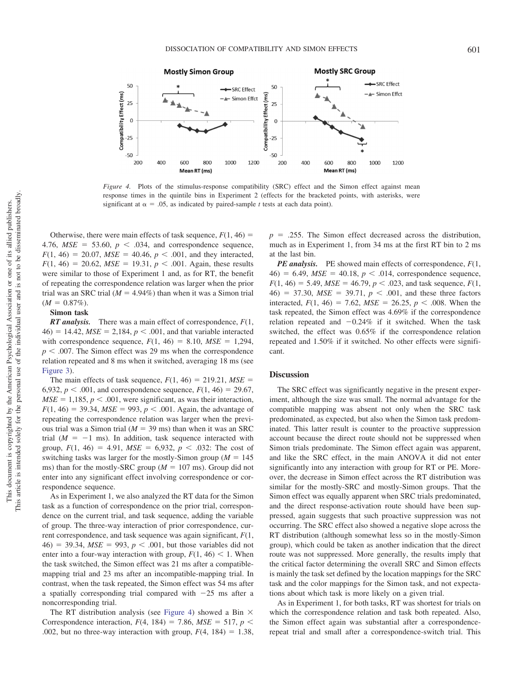

<span id="page-8-0"></span>*Figure 4.* Plots of the stimulus-response compatibility (SRC) effect and the Simon effect against mean response times in the quintile bins in Experiment 2 (effects for the bracketed points, with asterisks, were significant at  $\alpha = .05$ , as indicated by paired-sample *t* tests at each data point).

Otherwise, there were main effects of task sequence,  $F(1, 46)$  = 4.76,  $MSE = 53.60$ ,  $p < .034$ , and correspondence sequence,  $F(1, 46) = 20.07$ ,  $MSE = 40.46$ ,  $p < .001$ , and they interacted,  $F(1, 46) = 20.62$ ,  $MSE = 19.31$ ,  $p < .001$ . Again, these results were similar to those of Experiment 1 and, as for RT, the benefit of repeating the correspondence relation was larger when the prior trial was an SRC trial  $(M = 4.94\%)$  than when it was a Simon trial  $(M = 0.87\%)$ .

#### **Simon task**

*RT analysis.* There was a main effect of correspondence, *F*(1,  $46) = 14.42$ ,  $MSE = 2,184$ ,  $p < .001$ , and that variable interacted with correspondence sequence,  $F(1, 46) = 8.10$ ,  $MSE = 1,294$ ,  $p < .007$ . The Simon effect was 29 ms when the correspondence relation repeated and 8 ms when it switched, averaging 18 ms (see [Figure 3\)](#page-7-1).

The main effects of task sequence,  $F(1, 46) = 219.21$ ,  $MSE =$ 6,932,  $p < .001$ , and correspondence sequence,  $F(1, 46) = 29.67$ ,  $MSE = 1,185, p < .001$ , were significant, as was their interaction,  $F(1, 46) = 39.34$ , *MSE* = 993,  $p < .001$ . Again, the advantage of repeating the correspondence relation was larger when the previous trial was a Simon trial  $(M = 39 \text{ ms})$  than when it was an SRC trial  $(M = -1$  ms). In addition, task sequence interacted with group,  $F(1, 46) = 4.91$ ,  $MSE = 6.932$ ,  $p < .032$ : The cost of switching tasks was larger for the mostly-Simon group  $(M = 145)$ ms) than for the mostly-SRC group ( $M = 107$  ms). Group did not enter into any significant effect involving correspondence or correspondence sequence.

As in Experiment 1, we also analyzed the RT data for the Simon task as a function of correspondence on the prior trial, correspondence on the current trial, and task sequence, adding the variable of group. The three-way interaction of prior correspondence, current correspondence, and task sequence was again significant, *F*(1,  $46) = 39.34$ ,  $MSE = 993$ ,  $p < .001$ , but those variables did not enter into a four-way interaction with group,  $F(1, 46) < 1$ . When the task switched, the Simon effect was 21 ms after a compatiblemapping trial and 23 ms after an incompatible-mapping trial. In contrast, when the task repeated, the Simon effect was 54 ms after a spatially corresponding trial compared with  $-25$  ms after a noncorresponding trial.

The RT distribution analysis (see [Figure 4\)](#page-8-0) showed a Bin  $\times$ Correspondence interaction,  $F(4, 184) = 7.86$ ,  $MSE = 517$ ,  $p <$ .002, but no three-way interaction with group,  $F(4, 184) = 1.38$ ,  $p = .255$ . The Simon effect decreased across the distribution, much as in Experiment 1, from 34 ms at the first RT bin to 2 ms at the last bin.

*PE analysis.* PE showed main effects of correspondence, *F*(1,  $46) = 6.49$ ,  $MSE = 40.18$ ,  $p < .014$ , correspondence sequence,  $F(1, 46) = 5.49$ ,  $MSE = 46.79$ ,  $p < .023$ , and task sequence,  $F(1, 46) = 5.49$ ,  $MSE = .023$  $46) = 37.30, \, MSE = 39.71, \, p \leq .001, \, \text{and these three factors}$ interacted,  $F(1, 46) = 7.62$ ,  $MSE = 26.25$ ,  $p < .008$ . When the task repeated, the Simon effect was 4.69% if the correspondence relation repeated and  $-0.24\%$  if it switched. When the task switched, the effect was 0.65% if the correspondence relation repeated and 1.50% if it switched. No other effects were significant.

# **Discussion**

The SRC effect was significantly negative in the present experiment, although the size was small. The normal advantage for the compatible mapping was absent not only when the SRC task predominated, as expected, but also when the Simon task predominated. This latter result is counter to the proactive suppression account because the direct route should not be suppressed when Simon trials predominate. The Simon effect again was apparent, and like the SRC effect, in the main ANOVA it did not enter significantly into any interaction with group for RT or PE. Moreover, the decrease in Simon effect across the RT distribution was similar for the mostly-SRC and mostly-Simon groups. That the Simon effect was equally apparent when SRC trials predominated, and the direct response-activation route should have been suppressed, again suggests that such proactive suppression was not occurring. The SRC effect also showed a negative slope across the RT distribution (although somewhat less so in the mostly-Simon group), which could be taken as another indication that the direct route was not suppressed. More generally, the results imply that the critical factor determining the overall SRC and Simon effects is mainly the task set defined by the location mappings for the SRC task and the color mappings for the Simon task, and not expectations about which task is more likely on a given trial.

As in Experiment 1, for both tasks, RT was shortest for trials on which the correspondence relation and task both repeated. Also, the Simon effect again was substantial after a correspondencerepeat trial and small after a correspondence-switch trial. This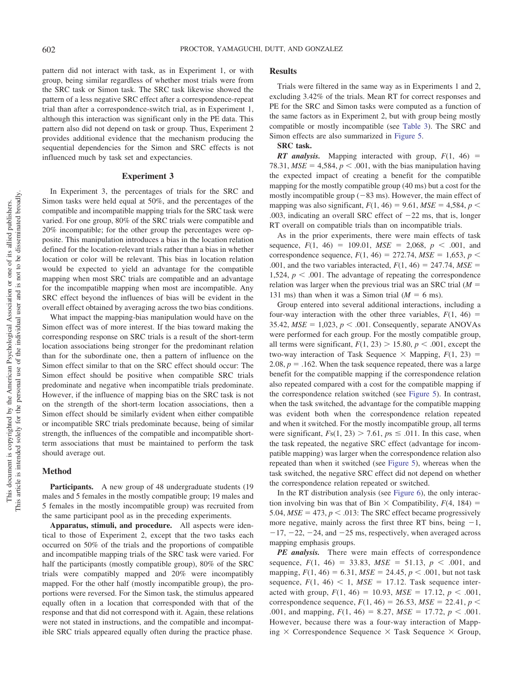pattern did not interact with task, as in Experiment 1, or with group, being similar regardless of whether most trials were from the SRC task or Simon task. The SRC task likewise showed the pattern of a less negative SRC effect after a correspondence-repeat trial than after a correspondence-switch trial, as in Experiment 1, although this interaction was significant only in the PE data. This pattern also did not depend on task or group. Thus, Experiment 2 provides additional evidence that the mechanism producing the sequential dependencies for the Simon and SRC effects is not influenced much by task set and expectancies.

#### **Experiment 3**

In Experiment 3, the percentages of trials for the SRC and Simon tasks were held equal at 50%, and the percentages of the compatible and incompatible mapping trials for the SRC task were varied. For one group, 80% of the SRC trials were compatible and 20% incompatible; for the other group the percentages were opposite. This manipulation introduces a bias in the location relation defined for the location-relevant trials rather than a bias in whether location or color will be relevant. This bias in location relation would be expected to yield an advantage for the compatible mapping when most SRC trials are compatible and an advantage for the incompatible mapping when most are incompatible. Any SRC effect beyond the influences of bias will be evident in the overall effect obtained by averaging across the two bias conditions.

What impact the mapping-bias manipulation would have on the Simon effect was of more interest. If the bias toward making the corresponding response on SRC trials is a result of the short-term location associations being stronger for the predominant relation than for the subordinate one, then a pattern of influence on the Simon effect similar to that on the SRC effect should occur: The Simon effect should be positive when compatible SRC trials predominate and negative when incompatible trials predominate. However, if the influence of mapping bias on the SRC task is not on the strength of the short-term location associations, then a Simon effect should be similarly evident when either compatible or incompatible SRC trials predominate because, being of similar strength, the influences of the compatible and incompatible shortterm associations that must be maintained to perform the task should average out.

# **Method**

Participants. A new group of 48 undergraduate students (19) males and 5 females in the mostly compatible group; 19 males and 5 females in the mostly incompatible group) was recruited from the same participant pool as in the preceding experiments.

**Apparatus, stimuli, and procedure.** All aspects were identical to those of Experiment 2, except that the two tasks each occurred on 50% of the trials and the proportions of compatible and incompatible mapping trials of the SRC task were varied. For half the participants (mostly compatible group), 80% of the SRC trials were compatibly mapped and 20% were incompatibly mapped. For the other half (mostly incompatible group), the proportions were reversed. For the Simon task, the stimulus appeared equally often in a location that corresponded with that of the response and that did not correspond with it. Again, these relations were not stated in instructions, and the compatible and incompatible SRC trials appeared equally often during the practice phase.

# **Results**

Trials were filtered in the same way as in Experiments 1 and 2, excluding 3.42% of the trials. Mean RT for correct responses and PE for the SRC and Simon tasks were computed as a function of the same factors as in Experiment 2, but with group being mostly compatible or mostly incompatible (see [Table 3\)](#page-10-0). The SRC and Simon effects are also summarized in [Figure 5.](#page-11-0)

#### **SRC task.**

*RT analysis.* Mapping interacted with group,  $F(1, 46)$  = 78.31,  $MSE = 4,584$ ,  $p < .001$ , with the bias manipulation having the expected impact of creating a benefit for the compatible mapping for the mostly compatible group (40 ms) but a cost for the mostly incompatible group  $(-83 \text{ ms})$ . However, the main effect of mapping was also significant,  $F(1, 46) = 9.61$ ,  $MSE = 4,584$ ,  $p <$ .003, indicating an overall SRC effect of  $-22$  ms, that is, longer RT overall on compatible trials than on incompatible trials.

As in the prior experiments, there were main effects of task sequence,  $F(1, 46) = 109.01$ ,  $MSE = 2,068$ ,  $p < .001$ , and correspondence sequence,  $F(1, 46) = 272.74$ ,  $MSE = 1,653$ ,  $p <$ .001, and the two variables interacted,  $F(1, 46) = 247.74$ ,  $MSE =$ 1,524,  $p < .001$ . The advantage of repeating the correspondence relation was larger when the previous trial was an SRC trial (*M* 131 ms) than when it was a Simon trial  $(M = 6 \text{ ms})$ .

Group entered into several additional interactions, including a four-way interaction with the other three variables,  $F(1, 46) =$ 35.42,  $MSE = 1,023$ ,  $p < .001$ . Consequently, separate ANOVAs were performed for each group. For the mostly compatible group, all terms were significant,  $F(1, 23) > 15.80$ ,  $p < .001$ , except the two-way interaction of Task Sequence  $\times$  Mapping,  $F(1, 23)$  = 2.08,  $p = 0.162$ . When the task sequence repeated, there was a large benefit for the compatible mapping if the correspondence relation also repeated compared with a cost for the compatible mapping if the correspondence relation switched (see [Figure 5\)](#page-11-0). In contrast, when the task switched, the advantage for the compatible mapping was evident both when the correspondence relation repeated and when it switched. For the mostly incompatible group, all terms were significant,  $Fs(1, 23) > 7.61$ ,  $ps \le .011$ . In this case, when the task repeated, the negative SRC effect (advantage for incompatible mapping) was larger when the correspondence relation also repeated than when it switched (see [Figure 5\)](#page-11-0), whereas when the task switched, the negative SRC effect did not depend on whether the correspondence relation repeated or switched.

In the RT distribution analysis (see [Figure 6\)](#page-11-1), the only interaction involving bin was that of Bin  $\times$  Compatibility,  $F(4, 184) =$ 5.04,  $MSE = 473$ ,  $p < .013$ : The SRC effect became progressively more negative, mainly across the first three RT bins, being  $-1$ ,  $-17, -22, -24,$  and  $-25$  ms, respectively, when averaged across mapping emphasis groups.

*PE analysis.* There were main effects of correspondence sequence,  $F(1, 46) = 33.83$ ,  $MSE = 51.13$ ,  $p < .001$ , and mapping,  $F(1, 46) = 6.31$ ,  $MSE = 24.45$ ,  $p < .001$ , but not task sequence,  $F(1, 46) < 1$ ,  $MSE = 17.12$ . Task sequence interacted with group,  $F(1, 46) = 10.93$ ,  $MSE = 17.12$ ,  $p < .001$ , correspondence sequence,  $F(1, 46) = 26.53$ ,  $MSE = 22.41$ ,  $p <$ .001, and mapping,  $F(1, 46) = 8.27$ ,  $MSE = 17.72$ ,  $p < .001$ . However, because there was a four-way interaction of Mapping  $\times$  Correspondence Sequence  $\times$  Task Sequence  $\times$  Group,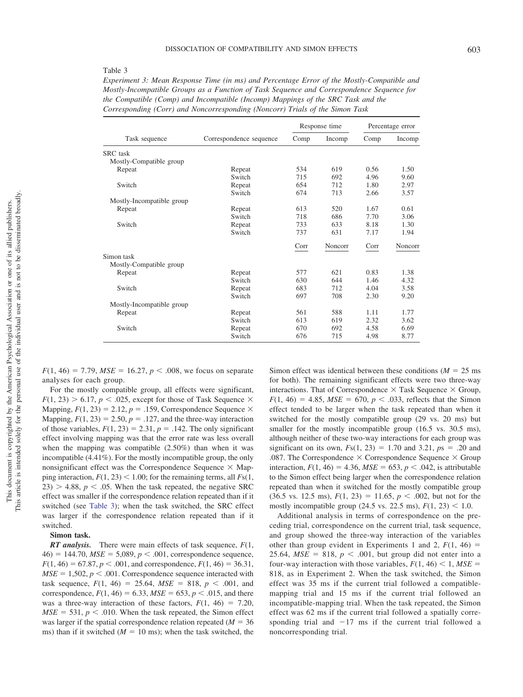#### <span id="page-10-0"></span>Table 3

*Experiment 3: Mean Response Time (in ms) and Percentage Error of the Mostly-Compatible and Mostly-Incompatible Groups as a Function of Task Sequence and Correspondence Sequence for the Compatible (Comp) and Incompatible (Incomp) Mappings of the SRC Task and the Corresponding (Corr) and Noncorresponding (Noncorr) Trials of the Simon Task*

|                           | Correspondence sequence | Response time |         | Percentage error |         |
|---------------------------|-------------------------|---------------|---------|------------------|---------|
| Task sequence             |                         | Comp          | Incomp  | Comp             | Incomp  |
| <b>SRC</b> task           |                         |               |         |                  |         |
| Mostly-Compatible group   |                         |               |         |                  |         |
| Repeat                    | Repeat                  | 534           | 619     | 0.56             | 1.50    |
|                           | Switch                  | 715           | 692     | 4.96             | 9.60    |
| Switch                    | Repeat                  | 654           | 712     | 1.80             | 2.97    |
|                           | Switch                  | 674           | 713     | 2.66             | 3.57    |
| Mostly-Incompatible group |                         |               |         |                  |         |
| Repeat                    | Repeat                  | 613           | 520     | 1.67             | 0.61    |
|                           | Switch                  | 718           | 686     | 7.70             | 3.06    |
| Switch                    | Repeat                  | 733           | 633     | 8.18             | 1.30    |
|                           | Switch                  | 737           | 631     | 7.17             | 1.94    |
|                           |                         | Corr          | Noncorr | Corr             | Noncorr |
| Simon task                |                         |               |         |                  |         |
| Mostly-Compatible group   |                         |               |         |                  |         |
| Repeat                    | Repeat                  | 577           | 621     | 0.83             | 1.38    |
|                           | Switch                  | 630           | 644     | 1.46             | 4.32    |
| Switch                    | Repeat                  | 683           | 712     | 4.04             | 3.58    |
|                           | Switch                  | 697           | 708     | 2.30             | 9.20    |
| Mostly-Incompatible group |                         |               |         |                  |         |
| Repeat                    | Repeat                  | 561           | 588     | 1.11             | 1.77    |
|                           | Switch                  | 613           | 619     | 2.32             | 3.62    |
| Switch                    | Repeat                  | 670           | 692     | 4.58             | 6.69    |
|                           | Switch                  | 676           | 715     | 4.98             | 8.77    |
|                           |                         |               |         |                  |         |

 $F(1, 46) = 7.79$ ,  $MSE = 16.27$ ,  $p < .008$ , we focus on separate analyses for each group.

For the mostly compatible group, all effects were significant,  $F(1, 23) > 6.17$ ,  $p < .025$ , except for those of Task Sequence  $\times$ Mapping,  $F(1, 23) = 2.12$ ,  $p = .159$ , Correspondence Sequence  $\times$ Mapping,  $F(1, 23) = 2.50$ ,  $p = .127$ , and the three-way interaction of those variables,  $F(1, 23) = 2.31$ ,  $p = .142$ . The only significant effect involving mapping was that the error rate was less overall when the mapping was compatible (2.50%) than when it was incompatible (4.41%). For the mostly incompatible group, the only nonsignificant effect was the Correspondence Sequence  $\times$  Mapping interaction,  $F(1, 23) < 1.00$ ; for the remaining terms, all  $Fs(1, 16)$  $(23) > 4.88$ ,  $p < .05$ . When the task repeated, the negative SRC effect was smaller if the correspondence relation repeated than if it switched (see [Table 3\)](#page-10-0); when the task switched, the SRC effect was larger if the correspondence relation repeated than if it switched.

# **Simon task.**

*RT analysis.* There were main effects of task sequence, *F*(1,  $46) = 144.70$ ,  $MSE = 5,089$ ,  $p < .001$ , correspondence sequence,  $F(1, 46) = 67.87, p < .001$ , and correspondence,  $F(1, 46) = 36.31$ ,  $MSE = 1,502$ ,  $p < .001$ . Correspondence sequence interacted with task sequence,  $F(1, 46) = 25.64$ ,  $MSE = 818$ ,  $p < .001$ , and correspondence,  $F(1, 46) = 6.33$ ,  $MSE = 653$ ,  $p < .015$ , and there was a three-way interaction of these factors,  $F(1, 46) = 7.20$ ,  $MSE = 531$ ,  $p < .010$ . When the task repeated, the Simon effect was larger if the spatial correspondence relation repeated  $(M = 36$ ms) than if it switched ( $M = 10$  ms); when the task switched, the

Simon effect was identical between these conditions  $(M = 25 \text{ ms})$ for both). The remaining significant effects were two three-way interactions. That of Correspondence  $\times$  Task Sequence  $\times$  Group,  $F(1, 46) = 4.85$ ,  $MSE = 670$ ,  $p < .033$ , reflects that the Simon effect tended to be larger when the task repeated than when it switched for the mostly compatible group (29 vs. 20 ms) but smaller for the mostly incompatible group (16.5 vs. 30.5 ms), although neither of these two-way interactions for each group was significant on its own,  $Fs(1, 23) = 1.70$  and 3.21,  $ps = .20$  and .087. The Correspondence  $\times$  Correspondence Sequence  $\times$  Group interaction,  $F(1, 46) = 4.36$ ,  $MSE = 653$ ,  $p < .042$ , is attributable to the Simon effect being larger when the correspondence relation repeated than when it switched for the mostly compatible group  $(36.5 \text{ vs. } 12.5 \text{ ms})$ ,  $F(1, 23) = 11.65$ ,  $p < .002$ , but not for the mostly incompatible group  $(24.5 \text{ vs. } 22.5 \text{ ms})$ ,  $F(1, 23) < 1.0$ .

Additional analysis in terms of correspondence on the preceding trial, correspondence on the current trial, task sequence, and group showed the three-way interaction of the variables other than group evident in Experiments 1 and 2,  $F(1, 46) =$  $25.64$ ,  $MSE = 818$ ,  $p < .001$ , but group did not enter into a four-way interaction with those variables,  $F(1, 46) < 1$ ,  $MSE =$ 818, as in Experiment 2. When the task switched, the Simon effect was 35 ms if the current trial followed a compatiblemapping trial and 15 ms if the current trial followed an incompatible-mapping trial. When the task repeated, the Simon effect was 62 ms if the current trial followed a spatially corresponding trial and  $-17$  ms if the current trial followed a noncorresponding trial.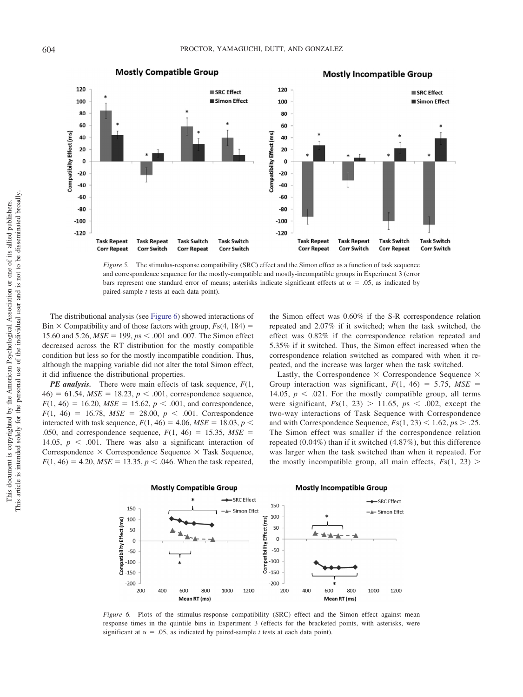

**Mostly Incompatible Group** 



<span id="page-11-0"></span>*Figure 5.* The stimulus-response compatibility (SRC) effect and the Simon effect as a function of task sequence and correspondence sequence for the mostly-compatible and mostly-incompatible groups in Experiment 3 (error bars represent one standard error of means; asterisks indicate significant effects at  $\alpha = .05$ , as indicated by paired-sample *t* tests at each data point).

The distributional analysis (see [Figure 6\)](#page-11-1) showed interactions of  $\text{Bin } \times \text{ compatibility and of those factors with group, } F_s(4, 184) =$ 15.60 and 5.26,  $MSE = 199$ ,  $ps < .001$  and .007. The Simon effect decreased across the RT distribution for the mostly compatible condition but less so for the mostly incompatible condition. Thus, although the mapping variable did not alter the total Simon effect, it did influence the distributional properties.

*PE analysis.* There were main effects of task sequence, *F*(1,  $46) = 61.54, MSE = 18.23, p < .001$ , correspondence sequence,  $F(1, 46) = 16.20$ ,  $MSE = 15.62$ ,  $p < .001$ , and correspondence,  $F(1, 46) = 16.78$ ,  $MSE = 28.00$ ,  $p < .001$ . Correspondence interacted with task sequence,  $F(1, 46) = 4.06$ ,  $MSE = 18.03$ ,  $p <$ .050, and correspondence sequence,  $F(1, 46) = 15.35$ ,  $MSE =$ 14.05,  $p < .001$ . There was also a significant interaction of Correspondence  $\times$  Correspondence Sequence  $\times$  Task Sequence,  $F(1, 46) = 4.20$ ,  $MSE = 13.35$ ,  $p < .046$ . When the task repeated, the Simon effect was 0.60% if the S-R correspondence relation repeated and 2.07% if it switched; when the task switched, the effect was 0.82% if the correspondence relation repeated and 5.35% if it switched. Thus, the Simon effect increased when the correspondence relation switched as compared with when it repeated, and the increase was larger when the task switched.

Lastly, the Correspondence  $\times$  Correspondence Sequence  $\times$ Group interaction was significant,  $F(1, 46) = 5.75$ ,  $MSE =$ 14.05,  $p < .021$ . For the mostly compatible group, all terms were significant,  $Fs(1, 23) > 11.65$ ,  $ps < .002$ , except the two-way interactions of Task Sequence with Correspondence and with Correspondence Sequence,  $Fs(1, 23) < 1.62$ ,  $ps > .25$ . The Simon effect was smaller if the correspondence relation repeated (0.04%) than if it switched (4.87%), but this difference was larger when the task switched than when it repeated. For the mostly incompatible group, all main effects,  $Fs(1, 23)$ 



<span id="page-11-1"></span>*Figure 6.* Plots of the stimulus-response compatibility (SRC) effect and the Simon effect against mean response times in the quintile bins in Experiment 3 (effects for the bracketed points, with asterisks, were significant at  $\alpha = .05$ , as indicated by paired-sample *t* tests at each data point).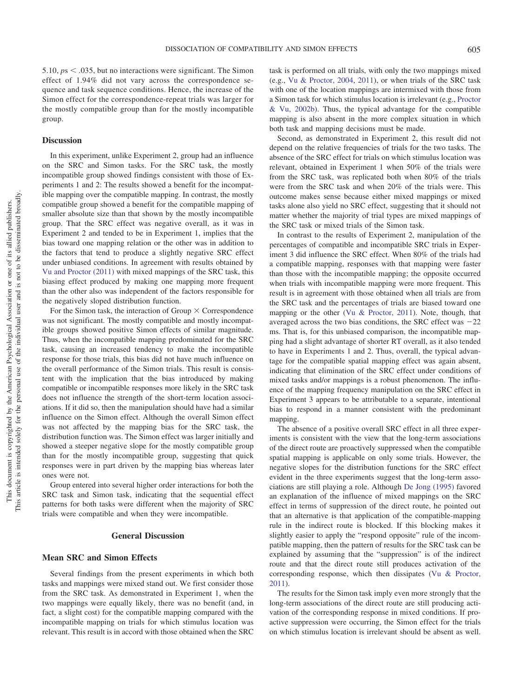$5.10, ps < .035$ , but no interactions were significant. The Simon effect of 1.94% did not vary across the correspondence sequence and task sequence conditions. Hence, the increase of the Simon effect for the correspondence-repeat trials was larger for the mostly compatible group than for the mostly incompatible group.

# **Discussion**

In this experiment, unlike Experiment 2, group had an influence on the SRC and Simon tasks. For the SRC task, the mostly incompatible group showed findings consistent with those of Experiments 1 and 2: The results showed a benefit for the incompatible mapping over the compatible mapping. In contrast, the mostly compatible group showed a benefit for the compatible mapping of smaller absolute size than that shown by the mostly incompatible group. That the SRC effect was negative overall, as it was in Experiment 2 and tended to be in Experiment 1, implies that the bias toward one mapping relation or the other was in addition to the factors that tend to produce a slightly negative SRC effect under unbiased conditions. In agreement with results obtained by [Vu and Proctor \(2011\)](#page-16-11) with mixed mappings of the SRC task, this biasing effect produced by making one mapping more frequent than the other also was independent of the factors responsible for the negatively sloped distribution function.

For the Simon task, the interaction of Group  $\times$  Correspondence was not significant. The mostly compatible and mostly incompatible groups showed positive Simon effects of similar magnitude. Thus, when the incompatible mapping predominated for the SRC task, causing an increased tendency to make the incompatible response for those trials, this bias did not have much influence on the overall performance of the Simon trials. This result is consistent with the implication that the bias introduced by making compatible or incompatible responses more likely in the SRC task does not influence the strength of the short-term location associations. If it did so, then the manipulation should have had a similar influence on the Simon effect. Although the overall Simon effect was not affected by the mapping bias for the SRC task, the distribution function was. The Simon effect was larger initially and showed a steeper negative slope for the mostly compatible group than for the mostly incompatible group, suggesting that quick responses were in part driven by the mapping bias whereas later ones were not.

Group entered into several higher order interactions for both the SRC task and Simon task, indicating that the sequential effect patterns for both tasks were different when the majority of SRC trials were compatible and when they were incompatible.

# **General Discussion**

# **Mean SRC and Simon Effects**

Several findings from the present experiments in which both tasks and mappings were mixed stand out. We first consider those from the SRC task. As demonstrated in Experiment 1, when the two mappings were equally likely, there was no benefit (and, in fact, a slight cost) for the compatible mapping compared with the incompatible mapping on trials for which stimulus location was relevant. This result is in accord with those obtained when the SRC task is performed on all trials, with only the two mappings mixed (e.g., [Vu & Proctor, 2004,](#page-16-10) [2011\)](#page-16-11), or when trials of the SRC task with one of the location mappings are intermixed with those from a Simon task for which stimulus location is irrelevant (e.g., [Proctor](#page-15-11) [& Vu, 2002b\)](#page-15-11). Thus, the typical advantage for the compatible mapping is also absent in the more complex situation in which both task and mapping decisions must be made.

Second, as demonstrated in Experiment 2, this result did not depend on the relative frequencies of trials for the two tasks. The absence of the SRC effect for trials on which stimulus location was relevant, obtained in Experiment 1 when 50% of the trials were from the SRC task, was replicated both when 80% of the trials were from the SRC task and when 20% of the trials were. This outcome makes sense because either mixed mappings or mixed tasks alone also yield no SRC effect, suggesting that it should not matter whether the majority of trial types are mixed mappings of the SRC task or mixed trials of the Simon task.

In contrast to the results of Experiment 2, manipulation of the percentages of compatible and incompatible SRC trials in Experiment 3 did influence the SRC effect. When 80% of the trials had a compatible mapping, responses with that mapping were faster than those with the incompatible mapping; the opposite occurred when trials with incompatible mapping were more frequent. This result is in agreement with those obtained when all trials are from the SRC task and the percentages of trials are biased toward one mapping or the other [\(Vu & Proctor, 2011\)](#page-16-11). Note, though, that averaged across the two bias conditions, the SRC effect was  $-22$ ms. That is, for this unbiased comparison, the incompatible mapping had a slight advantage of shorter RT overall, as it also tended to have in Experiments 1 and 2. Thus, overall, the typical advantage for the compatible spatial mapping effect was again absent, indicating that elimination of the SRC effect under conditions of mixed tasks and/or mappings is a robust phenomenon. The influence of the mapping frequency manipulation on the SRC effect in Experiment 3 appears to be attributable to a separate, intentional bias to respond in a manner consistent with the predominant mapping.

The absence of a positive overall SRC effect in all three experiments is consistent with the view that the long-term associations of the direct route are proactively suppressed when the compatible spatial mapping is applicable on only some trials. However, the negative slopes for the distribution functions for the SRC effect evident in the three experiments suggest that the long-term associations are still playing a role. Although [De Jong \(1995\)](#page-15-17) favored an explanation of the influence of mixed mappings on the SRC effect in terms of suppression of the direct route, he pointed out that an alternative is that application of the compatible-mapping rule in the indirect route is blocked. If this blocking makes it slightly easier to apply the "respond opposite" rule of the incompatible mapping, then the pattern of results for the SRC task can be explained by assuming that the "suppression" is of the indirect route and that the direct route still produces activation of the corresponding response, which then dissipates [\(Vu & Proctor,](#page-16-11) [2011\)](#page-16-11).

The results for the Simon task imply even more strongly that the long-term associations of the direct route are still producing activation of the corresponding response in mixed conditions. If proactive suppression were occurring, the Simon effect for the trials on which stimulus location is irrelevant should be absent as well.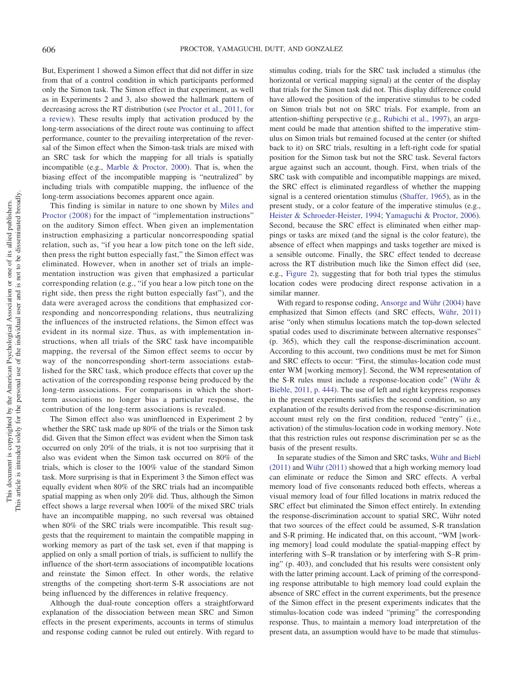But, Experiment 1 showed a Simon effect that did not differ in size from that of a control condition in which participants performed only the Simon task. The Simon effect in that experiment, as well as in Experiments 2 and 3, also showed the hallmark pattern of decreasing across the RT distribution (see [Proctor et al., 2011, for](#page-15-9) [a review\)](#page-15-9). These results imply that activation produced by the long-term associations of the direct route was continuing to affect performance, counter to the prevailing interpretation of the reversal of the Simon effect when the Simon-task trials are mixed with an SRC task for which the mapping for all trials is spatially incompatible (e.g., [Marble & Proctor, 2000\)](#page-15-13). That is, when the biasing effect of the incompatible mapping is "neutralized" by including trials with compatible mapping, the influence of the long-term associations becomes apparent once again.

This finding is similar in nature to one shown by [Miles and](#page-15-21) [Proctor \(2008\)](#page-15-21) for the impact of "implementation instructions" on the auditory Simon effect. When given an implementation instruction emphasizing a particular noncorresponding spatial relation, such as, "if you hear a low pitch tone on the left side, then press the right button especially fast," the Simon effect was eliminated. However, when in another set of trials an implementation instruction was given that emphasized a particular corresponding relation (e.g., "if you hear a low pitch tone on the right side, then press the right button especially fast"), and the data were averaged across the conditions that emphasized corresponding and noncorresponding relations, thus neutralizing the influences of the instructed relations, the Simon effect was evident in its normal size. Thus, as with implementation instructions, when all trials of the SRC task have incompatible mapping, the reversal of the Simon effect seems to occur by way of the noncorresponding short-term associations established for the SRC task, which produce effects that cover up the activation of the corresponding response being produced by the long-term associations. For comparisons in which the shortterm associations no longer bias a particular response, the contribution of the long-term associations is revealed.

The Simon effect also was uninfluenced in Experiment 2 by whether the SRC task made up 80% of the trials or the Simon task did. Given that the Simon effect was evident when the Simon task occurred on only 20% of the trials, it is not too surprising that it also was evident when the Simon task occurred on 80% of the trials, which is closer to the 100% value of the standard Simon task. More surprising is that in Experiment 3 the Simon effect was equally evident when 80% of the SRC trials had an incompatible spatial mapping as when only 20% did. Thus, although the Simon effect shows a large reversal when 100% of the mixed SRC trials have an incompatible mapping, no such reversal was obtained when 80% of the SRC trials were incompatible. This result suggests that the requirement to maintain the compatible mapping in working memory as part of the task set, even if that mapping is applied on only a small portion of trials, is sufficient to nullify the influence of the short-term associations of incompatible locations and reinstate the Simon effect. In other words, the relative strengths of the competing short-term S-R associations are not being influenced by the differences in relative frequency.

Although the dual-route conception offers a straightforward explanation of the dissociation between mean SRC and Simon effects in the present experiments, accounts in terms of stimulus and response coding cannot be ruled out entirely. With regard to

stimulus coding, trials for the SRC task included a stimulus (the horizontal or vertical mapping signal) at the center of the display that trials for the Simon task did not. This display difference could have allowed the position of the imperative stimulus to be coded on Simon trials but not on SRC trials. For example, from an attention-shifting perspective (e.g., [Rubichi et al., 1997\)](#page-16-3), an argument could be made that attention shifted to the imperative stimulus on Simon trials but remained focused at the center (or shifted back to it) on SRC trials, resulting in a left-right code for spatial position for the Simon task but not the SRC task. Several factors argue against such an account, though. First, when trials of the SRC task with compatible and incompatible mappings are mixed, the SRC effect is eliminated regardless of whether the mapping signal is a centered orientation stimulus [\(Shaffer, 1965\)](#page-16-9), as in the present study, or a color feature of the imperative stimulus (e.g., [Heister & Schroeder-Heister, 1994;](#page-15-10) [Yamaguchi & Proctor, 2006\)](#page-16-1). Second, because the SRC effect is eliminated when either mappings or tasks are mixed (and the signal is the color feature), the absence of effect when mappings and tasks together are mixed is a sensible outcome. Finally, the SRC effect tended to decrease across the RT distribution much like the Simon effect did (see, e.g., [Figure 2\)](#page-4-2), suggesting that for both trial types the stimulus location codes were producing direct response activation in a similar manner.

With regard to response coding, [Ansorge and Wühr \(2004\)](#page-15-4) have emphasized that Simon effects (and SRC effects, [Wühr, 2011\)](#page-16-15) arise "only when stimulus locations match the top-down selected spatial codes used to discriminate between alternative responses" (p. 365), which they call the response-discrimination account. According to this account, two conditions must be met for Simon and SRC effects to occur: "First, the stimulus-location code must enter WM [working memory]. Second, the WM representation of the S-R rules must include a response-location code" [\(Wühr &](#page-16-16) [Bieble, 2011, p. 444\)](#page-16-16). The use of left and right keypress responses in the present experiments satisfies the second condition, so any explanation of the results derived from the response-discrimination account must rely on the first condition, reduced "entry" (i.e., activation) of the stimulus-location code in working memory. Note that this restriction rules out response discrimination per se as the basis of the present results.

In separate studies of the Simon and SRC tasks, [Wühr and Biebl](#page-16-16) [\(2011\)](#page-16-16) and [Wühr \(2011\)](#page-16-15) showed that a high working memory load can eliminate or reduce the Simon and SRC effects. A verbal memory load of five consonants reduced both effects, whereas a visual memory load of four filled locations in matrix reduced the SRC effect but eliminated the Simon effect entirely. In extending the response-discrimination account to spatial SRC, Wühr noted that two sources of the effect could be assumed, S-R translation and S-R priming. He indicated that, on this account, "WM [working memory] load could modulate the spatial-mapping effect by interfering with S–R translation or by interfering with S–R priming" (p. 403), and concluded that his results were consistent only with the latter priming account. Lack of priming of the corresponding response attributable to high memory load could explain the absence of SRC effect in the current experiments, but the presence of the Simon effect in the present experiments indicates that the stimulus-location code was indeed "priming" the corresponding response. Thus, to maintain a memory load interpretation of the present data, an assumption would have to be made that stimulus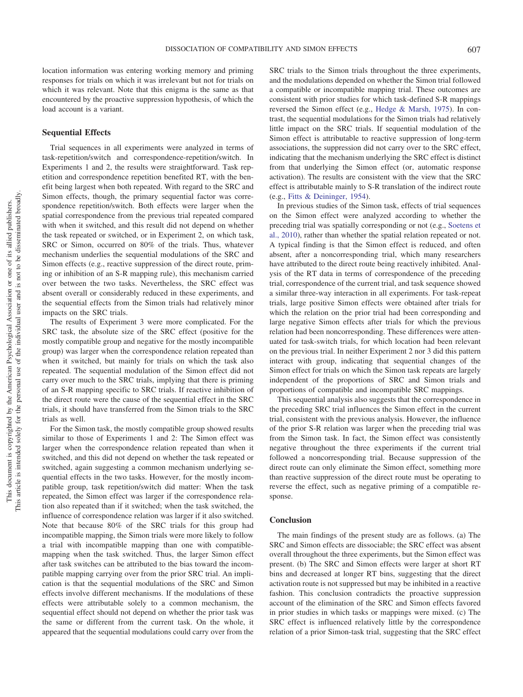location information was entering working memory and priming responses for trials on which it was irrelevant but not for trials on which it was relevant. Note that this enigma is the same as that encountered by the proactive suppression hypothesis, of which the load account is a variant.

# **Sequential Effects**

Trial sequences in all experiments were analyzed in terms of task-repetition/switch and correspondence-repetition/switch. In Experiments 1 and 2, the results were straightforward. Task repetition and correspondence repetition benefited RT, with the benefit being largest when both repeated. With regard to the SRC and Simon effects, though, the primary sequential factor was correspondence repetition/switch. Both effects were larger when the spatial correspondence from the previous trial repeated compared with when it switched, and this result did not depend on whether the task repeated or switched, or in Experiment 2, on which task, SRC or Simon, occurred on 80% of the trials. Thus, whatever mechanism underlies the sequential modulations of the SRC and Simon effects (e.g., reactive suppression of the direct route, priming or inhibition of an S-R mapping rule), this mechanism carried over between the two tasks. Nevertheless, the SRC effect was absent overall or considerably reduced in these experiments, and the sequential effects from the Simon trials had relatively minor impacts on the SRC trials.

The results of Experiment 3 were more complicated. For the SRC task, the absolute size of the SRC effect (positive for the mostly compatible group and negative for the mostly incompatible group) was larger when the correspondence relation repeated than when it switched, but mainly for trials on which the task also repeated. The sequential modulation of the Simon effect did not carry over much to the SRC trials, implying that there is priming of an S-R mapping specific to SRC trials. If reactive inhibition of the direct route were the cause of the sequential effect in the SRC trials, it should have transferred from the Simon trials to the SRC trials as well.

For the Simon task, the mostly compatible group showed results similar to those of Experiments 1 and 2: The Simon effect was larger when the correspondence relation repeated than when it switched, and this did not depend on whether the task repeated or switched, again suggesting a common mechanism underlying sequential effects in the two tasks. However, for the mostly incompatible group, task repetition/switch did matter: When the task repeated, the Simon effect was larger if the correspondence relation also repeated than if it switched; when the task switched, the influence of correspondence relation was larger if it also switched. Note that because 80% of the SRC trials for this group had incompatible mapping, the Simon trials were more likely to follow a trial with incompatible mapping than one with compatiblemapping when the task switched. Thus, the larger Simon effect after task switches can be attributed to the bias toward the incompatible mapping carrying over from the prior SRC trial. An implication is that the sequential modulations of the SRC and Simon effects involve different mechanisms. If the modulations of these effects were attributable solely to a common mechanism, the sequential effect should not depend on whether the prior task was the same or different from the current task. On the whole, it appeared that the sequential modulations could carry over from the

SRC trials to the Simon trials throughout the three experiments, and the modulations depended on whether the Simon trial followed a compatible or incompatible mapping trial. These outcomes are consistent with prior studies for which task-defined S-R mappings reversed the Simon effect (e.g., [Hedge & Marsh, 1975\)](#page-15-22). In contrast, the sequential modulations for the Simon trials had relatively little impact on the SRC trials. If sequential modulation of the Simon effect is attributable to reactive suppression of long-term associations, the suppression did not carry over to the SRC effect, indicating that the mechanism underlying the SRC effect is distinct from that underlying the Simon effect (or, automatic response activation). The results are consistent with the view that the SRC effect is attributable mainly to S-R translation of the indirect route (e.g., [Fitts & Deininger, 1954\)](#page-15-7).

In previous studies of the Simon task, effects of trial sequences on the Simon effect were analyzed according to whether the preceding trial was spatially corresponding or not (e.g., [Soetens et](#page-16-14) [al., 2010\)](#page-16-14), rather than whether the spatial relation repeated or not. A typical finding is that the Simon effect is reduced, and often absent, after a noncorresponding trial, which many researchers have attributed to the direct route being reactively inhibited. Analysis of the RT data in terms of correspondence of the preceding trial, correspondence of the current trial, and task sequence showed a similar three-way interaction in all experiments. For task-repeat trials, large positive Simon effects were obtained after trials for which the relation on the prior trial had been corresponding and large negative Simon effects after trials for which the previous relation had been noncorresponding. These differences were attenuated for task-switch trials, for which location had been relevant on the previous trial. In neither Experiment 2 nor 3 did this pattern interact with group, indicating that sequential changes of the Simon effect for trials on which the Simon task repeats are largely independent of the proportions of SRC and Simon trials and proportions of compatible and incompatible SRC mappings.

This sequential analysis also suggests that the correspondence in the preceding SRC trial influences the Simon effect in the current trial, consistent with the previous analysis. However, the influence of the prior S-R relation was larger when the preceding trial was from the Simon task. In fact, the Simon effect was consistently negative throughout the three experiments if the current trial followed a noncorresponding trial. Because suppression of the direct route can only eliminate the Simon effect, something more than reactive suppression of the direct route must be operating to reverse the effect, such as negative priming of a compatible response.

#### **Conclusion**

The main findings of the present study are as follows. (a) The SRC and Simon effects are dissociable; the SRC effect was absent overall throughout the three experiments, but the Simon effect was present. (b) The SRC and Simon effects were larger at short RT bins and decreased at longer RT bins, suggesting that the direct activation route is not suppressed but may be inhibited in a reactive fashion. This conclusion contradicts the proactive suppression account of the elimination of the SRC and Simon effects favored in prior studies in which tasks or mappings were mixed. (c) The SRC effect is influenced relatively little by the correspondence relation of a prior Simon-task trial, suggesting that the SRC effect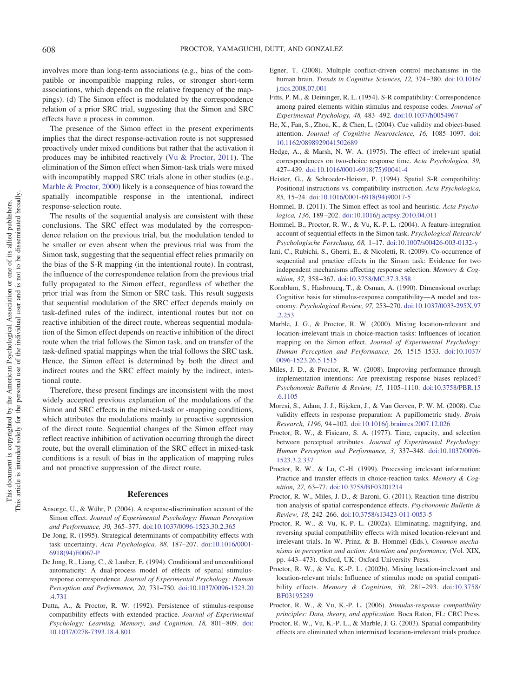involves more than long-term associations (e.g., bias of the compatible or incompatible mapping rules, or stronger short-term associations, which depends on the relative frequency of the mappings). (d) The Simon effect is modulated by the correspondence relation of a prior SRC trial, suggesting that the Simon and SRC effects have a process in common.

The presence of the Simon effect in the present experiments implies that the direct response-activation route is not suppressed proactively under mixed conditions but rather that the activation it produces may be inhibited reactively [\(Vu & Proctor, 2011\)](#page-16-11). The elimination of the Simon effect when Simon-task trials were mixed with incompatibly mapped SRC trials alone in other studies (e.g., [Marble & Proctor, 2000\)](#page-15-13) likely is a consequence of bias toward the spatially incompatible response in the intentional, indirect response-selection route.

The results of the sequential analysis are consistent with these conclusions. The SRC effect was modulated by the correspondence relation on the previous trial, but the modulation tended to be smaller or even absent when the previous trial was from the Simon task, suggesting that the sequential effect relies primarily on the bias of the S-R mapping (in the intentional route). In contrast, the influence of the correspondence relation from the previous trial fully propagated to the Simon effect, regardless of whether the prior trial was from the Simon or SRC task. This result suggests that sequential modulation of the SRC effect depends mainly on task-defined rules of the indirect, intentional routes but not on reactive inhibition of the direct route, whereas sequential modulation of the Simon effect depends on reactive inhibition of the direct route when the trial follows the Simon task, and on transfer of the task-defined spatial mappings when the trial follows the SRC task. Hence, the Simon effect is determined by both the direct and indirect routes and the SRC effect mainly by the indirect, intentional route.

Therefore, these present findings are inconsistent with the most widely accepted previous explanation of the modulations of the Simon and SRC effects in the mixed-task or -mapping conditions, which attributes the modulations mainly to proactive suppression of the direct route. Sequential changes of the Simon effect may reflect reactive inhibition of activation occurring through the direct route, but the overall elimination of the SRC effect in mixed-task conditions is a result of bias in the application of mapping rules and not proactive suppression of the direct route.

#### **References**

- <span id="page-15-4"></span>Ansorge, U., & Wühr, P. (2004). A response-discrimination account of the Simon effect. *Journal of Experimental Psychology: Human Perception and Performance, 30,* 365–377. [doi:10.1037/0096-1523.30.2.365](http://dx.doi.org/10.1037/0096-1523.30.2.365)
- <span id="page-15-17"></span>De Jong, R. (1995). Strategical determinants of compatibility effects with task uncertainty. *Acta Psychologica, 88,* 187–207. [doi:10.1016/0001-](http://dx.doi.org/10.1016/0001-6918%2894%29E0067-P) [6918\(94\)E0067-P](http://dx.doi.org/10.1016/0001-6918%2894%29E0067-P)
- <span id="page-15-8"></span>De Jong, R., Liang, C., & Lauber, E. (1994). Conditional and unconditional automaticity: A dual-process model of effects of spatial stimulusresponse correspondence. *Journal of Experimental Psychology: Human Perception and Performance, 20,* 731–750. [doi:10.1037/0096-1523.20](http://dx.doi.org/10.1037/0096-1523.20.4.731) [.4.731](http://dx.doi.org/10.1037/0096-1523.20.4.731)
- <span id="page-15-1"></span>Dutta, A., & Proctor, R. W. (1992). Persistence of stimulus-response compatibility effects with extended practice. *Journal of Experimental Psychology: Learning, Memory, and Cognition, 18,* 801– 809. [doi:](http://dx.doi.org/10.1037/0278-7393.18.4.801) [10.1037/0278-7393.18.4.801](http://dx.doi.org/10.1037/0278-7393.18.4.801)
- <span id="page-15-18"></span>Egner, T. (2008). Multiple conflict-driven control mechanisms in the human brain. *Trends in Cognitive Sciences, 12,* 374 –380. [doi:10.1016/](http://dx.doi.org/10.1016/j.tics.2008.07.001) [j.tics.2008.07.001](http://dx.doi.org/10.1016/j.tics.2008.07.001)
- <span id="page-15-7"></span>Fitts, P. M., & Deininger, R. L. (1954). S-R compatibility: Correspondence among paired elements within stimulus and response codes. *Journal of Experimental Psychology, 48,* 483– 492. [doi:10.1037/h0054967](http://dx.doi.org/10.1037/h0054967)
- <span id="page-15-19"></span>He, X., Fan, S., Zhou, K., & Chen, L. (2004). Cue validity and object-based attention. *Journal of Cognitive Neuroscience, 16,* 1085–1097. [doi:](http://dx.doi.org/10.1162/0898929041502689) [10.1162/0898929041502689](http://dx.doi.org/10.1162/0898929041502689)
- <span id="page-15-22"></span>Hedge, A., & Marsh, N. W. A. (1975). The effect of irrelevant spatial correspondences on two-choice response time. *Acta Psychologica, 39,* 427– 439. [doi:10.1016/0001-6918\(75\)90041-4](http://dx.doi.org/10.1016/0001-6918%2875%2990041-4)
- <span id="page-15-10"></span>Heister, G., & Schroeder-Heister, P. (1994). Spatial S-R compatibility: Positional instructions vs. compatibility instruction. *Acta Psychologica, 85,* 15–24. [doi:10.1016/0001-6918\(94\)90017-5](http://dx.doi.org/10.1016/0001-6918%2894%2990017-5)
- <span id="page-15-5"></span>Hommel, B. (2011). The Simon effect as tool and heuristic. *Acta Psychologica, 136,* 189 –202. [doi:10.1016/j.actpsy.2010.04.011](http://dx.doi.org/10.1016/j.actpsy.2010.04.011)
- <span id="page-15-15"></span>Hommel, B., Proctor, R. W., & Vu, K.-P. L. (2004). A feature-integration account of sequential effects in the Simon task. *Psychological Research/ Psychologische Forschung, 68,* 1–17. [doi:10.1007/s00426-003-0132-y](http://dx.doi.org/10.1007/s00426-003-0132-y)
- <span id="page-15-14"></span>Iani, C., Rubichi, S., Gherri, E., & Nicoletti, R. (2009). Co-occurrence of sequential and practice effects in the Simon task: Evidence for two independent mechanisms affecting response selection. *Memory & Cognition, 37,* 358 –367. [doi:10.3758/MC.37.3.358](http://dx.doi.org/10.3758/MC.37.3.358)
- <span id="page-15-6"></span>Kornblum, S., Hasbroucq, T., & Osman, A. (1990). Dimensional overlap: Cognitive basis for stimulus-response compatibility—A model and taxonomy. *Psychological Review, 97,* 253–270. [doi:10.1037/0033-295X.97](http://dx.doi.org/10.1037/0033-295X.97.2.253) [.2.253](http://dx.doi.org/10.1037/0033-295X.97.2.253)
- <span id="page-15-13"></span>Marble, J. G., & Proctor, R. W. (2000). Mixing location-relevant and location-irrelevant trials in choice-reaction tasks: Influences of location mapping on the Simon effect. *Journal of Experimental Psychology: Human Perception and Performance, 26,* 1515–1533. [doi:10.1037/](http://dx.doi.org/10.1037/0096-1523.26.5.1515) [0096-1523.26.5.1515](http://dx.doi.org/10.1037/0096-1523.26.5.1515)
- <span id="page-15-21"></span>Miles, J. D., & Proctor, R. W. (2008). Improving performance through implementation intentions: Are preexisting response biases replaced? *Psychonomic Bulletin & Review, 15,* 1105–1110. [doi:10.3758/PBR.15](http://dx.doi.org/10.3758/PBR.15.6.1105) [.6.1105](http://dx.doi.org/10.3758/PBR.15.6.1105)
- <span id="page-15-20"></span>Moresi, S., Adam, J. J., Rijcken, J., & Van Gerven, P. W. M. (2008). Cue validity effects in response preparation: A pupillometric study. *Brain Research, 1196,* 94 –102. [doi:10.1016/j.brainres.2007.12.026](http://dx.doi.org/10.1016/j.brainres.2007.12.026)
- <span id="page-15-16"></span>Proctor, R. W., & Fisicaro, S. A. (1977). Time, capacity, and selection between perceptual attributes. *Journal of Experimental Psychology: Human Perception and Performance, 3,* 337–348. [doi:10.1037/0096-](http://dx.doi.org/10.1037/0096-1523.3.2.337) [1523.3.2.337](http://dx.doi.org/10.1037/0096-1523.3.2.337)
- <span id="page-15-2"></span>Proctor, R. W., & Lu, C.-H. (1999). Processing irrelevant information: Practice and transfer effects in choice-reaction tasks. *Memory & Cognition, 27,* 63–77. [doi:10.3758/BF03201214](http://dx.doi.org/10.3758/BF03201214)
- <span id="page-15-9"></span>Proctor, R. W., Miles, J. D., & Baroni, G. (2011). Reaction-time distribution analysis of spatial correspondence effects. *Psychonomic Bulletin & Review, 18,* 242–266. [doi:10.3758/s13423-011-0053-5](http://dx.doi.org/10.3758/s13423-011-0053-5)
- <span id="page-15-3"></span>Proctor, R. W., & Vu, K.-P. L. (2002a). Eliminating, magnifying, and reversing spatial compatibility effects with mixed location-relevant and irrelevant trials. In W. Prinz, & B. Hommel (Eds.), *Common mechanisms in perception and action: Attention and performance,* (Vol. XIX*,* pp. 443– 473). Oxford, UK: Oxford University Press.
- <span id="page-15-11"></span>Proctor, R. W., & Vu, K.-P. L. (2002b). Mixing location-irrelevant and location-relevant trials: Influence of stimulus mode on spatial compatibility effects. *Memory & Cognition, 30,* 281–293. [doi:10.3758/](http://dx.doi.org/10.3758/BF03195289) [BF03195289](http://dx.doi.org/10.3758/BF03195289)
- <span id="page-15-0"></span>Proctor, R. W., & Vu, K.-P. L. (2006). *Stimulus-response compatibility principles: Data, theory, and application*. Boca Raton, FL: CRC Press.
- <span id="page-15-12"></span>Proctor, R. W., Vu, K.-P. L., & Marble, J. G. (2003). Spatial compatibility effects are eliminated when intermixed location-irrelevant trials produce